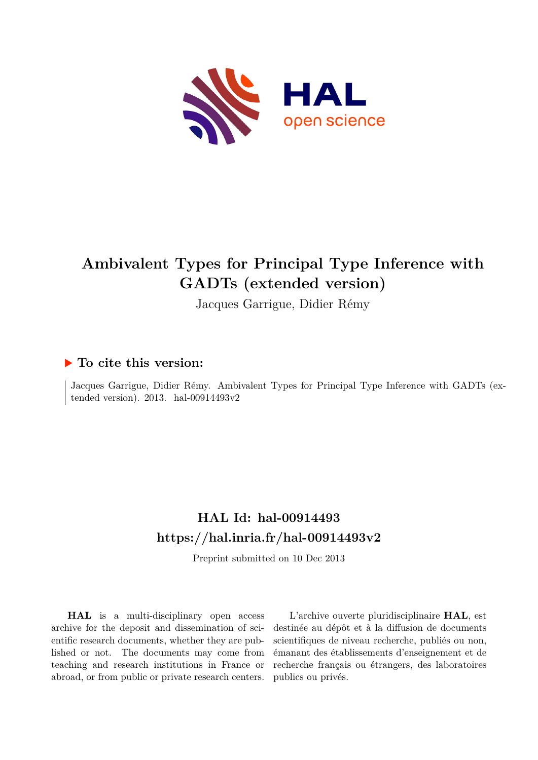

# **Ambivalent Types for Principal Type Inference with GADTs (extended version)**

Jacques Garrigue, Didier Rémy

## **To cite this version:**

Jacques Garrigue, Didier Rémy. Ambivalent Types for Principal Type Inference with GADTs (extended version). 2013. hal-00914493v2

# **HAL Id: hal-00914493 <https://hal.inria.fr/hal-00914493v2>**

Preprint submitted on 10 Dec 2013

**HAL** is a multi-disciplinary open access archive for the deposit and dissemination of scientific research documents, whether they are published or not. The documents may come from teaching and research institutions in France or abroad, or from public or private research centers.

L'archive ouverte pluridisciplinaire **HAL**, est destinée au dépôt et à la diffusion de documents scientifiques de niveau recherche, publiés ou non, émanant des établissements d'enseignement et de recherche français ou étrangers, des laboratoires publics ou privés.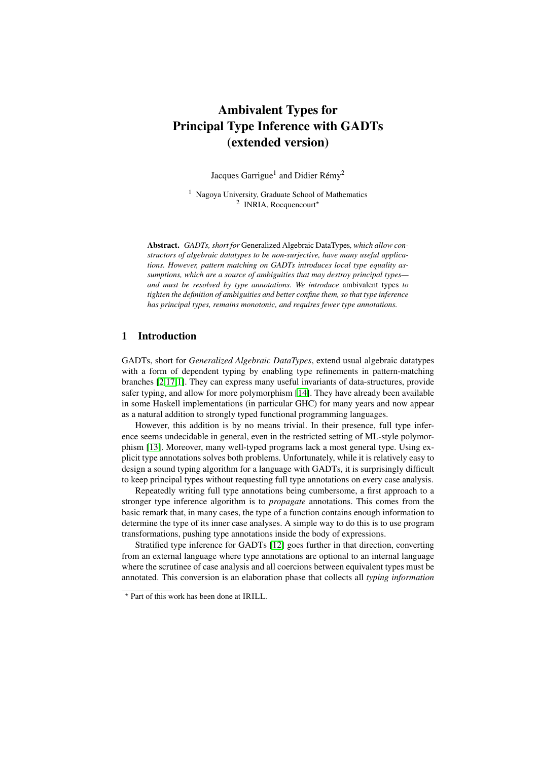## Ambivalent Types for Principal Type Inference with GADTs (extended version)

Jacques Garrigue<sup>1</sup> and Didier Rémy<sup>2</sup>

<sup>1</sup> Nagoya University, Graduate School of Mathematics <sup>2</sup> INRIA, Rocquencourt<sup>\*</sup>

Abstract. *GADTs, short for* Generalized Algebraic DataTypes*, which allow constructors of algebraic datatypes to be non-surjective, have many useful applications. However, pattern matching on GADTs introduces local type equality assumptions, which are a source of ambiguities that may destroy principal types and must be resolved by type annotations. We introduce* ambivalent types *to tighten the definition of ambiguities and better confine them, so that type inference has principal types, remains monotonic, and requires fewer type annotations.*

## 1 Introduction

GADTs, short for *Generalized Algebraic DataTypes*, extend usual algebraic datatypes with a form of dependent typing by enabling type refinements in pattern-matching branches [2,17,1]. They can express many useful invariants of data-structures, provide safer typing, and allow for more polymorphism [14]. They have already been available in some Haskell implementations (in particular GHC) for many years and now appear as a natural addition to strongly typed functional programming languages.

However, this addition is by no means trivial. In their presence, full type inference seems undecidable in general, even in the restricted setting of ML-style polymorphism [13]. Moreover, many well-typed programs lack a most general type. Using explicit type annotations solves both problems. Unfortunately, while it is relatively easy to design a sound typing algorithm for a language with GADTs, it is surprisingly difficult to keep principal types without requesting full type annotations on every case analysis.

Repeatedly writing full type annotations being cumbersome, a first approach to a stronger type inference algorithm is to *propagate* annotations. This comes from the basic remark that, in many cases, the type of a function contains enough information to determine the type of its inner case analyses. A simple way to do this is to use program transformations, pushing type annotations inside the body of expressions.

Stratified type inference for GADTs [12] goes further in that direction, converting from an external language where type annotations are optional to an internal language where the scrutinee of case analysis and all coercions between equivalent types must be annotated. This conversion is an elaboration phase that collects all *typing information*

<sup>?</sup> Part of this work has been done at IRILL.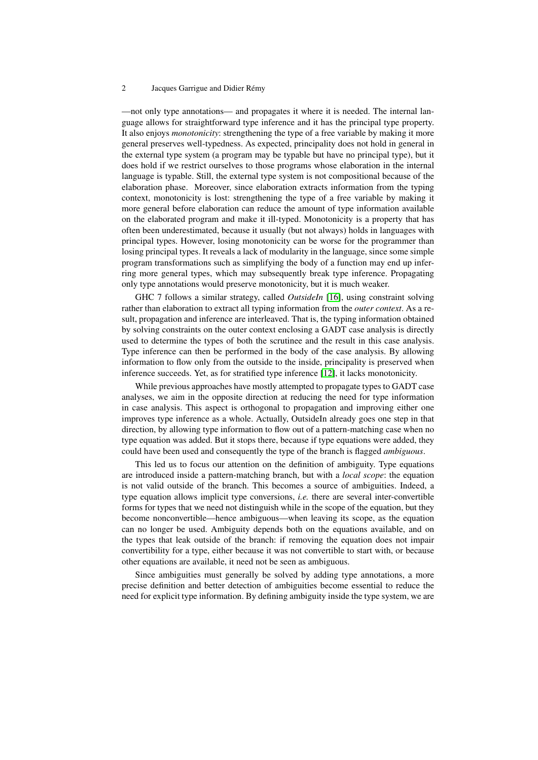—not only type annotations— and propagates it where it is needed. The internal language allows for straightforward type inference and it has the principal type property. It also enjoys *monotonicity*: strengthening the type of a free variable by making it more general preserves well-typedness. As expected, principality does not hold in general in the external type system (a program may be typable but have no principal type), but it does hold if we restrict ourselves to those programs whose elaboration in the internal language is typable. Still, the external type system is not compositional because of the elaboration phase. Moreover, since elaboration extracts information from the typing context, monotonicity is lost: strengthening the type of a free variable by making it more general before elaboration can reduce the amount of type information available on the elaborated program and make it ill-typed. Monotonicity is a property that has often been underestimated, because it usually (but not always) holds in languages with principal types. However, losing monotonicity can be worse for the programmer than losing principal types. It reveals a lack of modularity in the language, since some simple program transformations such as simplifying the body of a function may end up inferring more general types, which may subsequently break type inference. Propagating only type annotations would preserve monotonicity, but it is much weaker.

GHC 7 follows a similar strategy, called *OutsideIn* [16], using constraint solving rather than elaboration to extract all typing information from the *outer context*. As a result, propagation and inference are interleaved. That is, the typing information obtained by solving constraints on the outer context enclosing a GADT case analysis is directly used to determine the types of both the scrutinee and the result in this case analysis. Type inference can then be performed in the body of the case analysis. By allowing information to flow only from the outside to the inside, principality is preserved when inference succeeds. Yet, as for stratified type inference [12], it lacks monotonicity.

While previous approaches have mostly attempted to propagate types to GADT case analyses, we aim in the opposite direction at reducing the need for type information in case analysis. This aspect is orthogonal to propagation and improving either one improves type inference as a whole. Actually, OutsideIn already goes one step in that direction, by allowing type information to flow out of a pattern-matching case when no type equation was added. But it stops there, because if type equations were added, they could have been used and consequently the type of the branch is flagged *ambiguous*.

This led us to focus our attention on the definition of ambiguity. Type equations are introduced inside a pattern-matching branch, but with a *local scope*: the equation is not valid outside of the branch. This becomes a source of ambiguities. Indeed, a type equation allows implicit type conversions, *i.e.* there are several inter-convertible forms for types that we need not distinguish while in the scope of the equation, but they become nonconvertible—hence ambiguous—when leaving its scope, as the equation can no longer be used. Ambiguity depends both on the equations available, and on the types that leak outside of the branch: if removing the equation does not impair convertibility for a type, either because it was not convertible to start with, or because other equations are available, it need not be seen as ambiguous.

Since ambiguities must generally be solved by adding type annotations, a more precise definition and better detection of ambiguities become essential to reduce the need for explicit type information. By defining ambiguity inside the type system, we are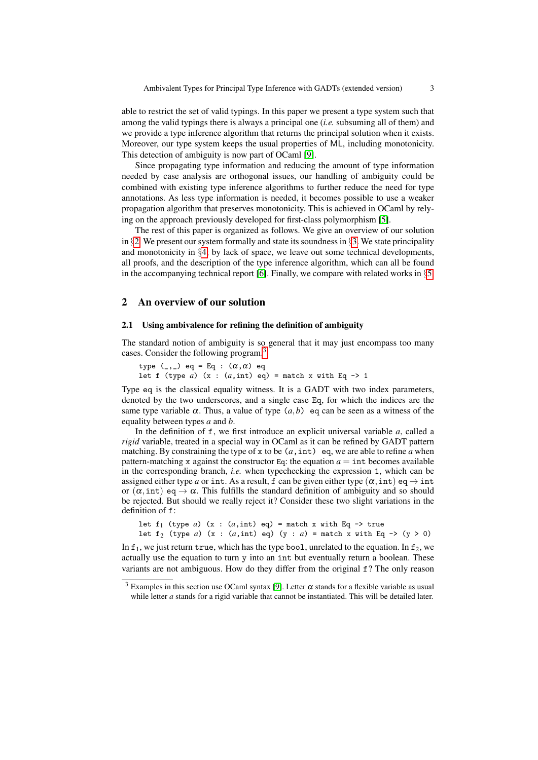able to restrict the set of valid typings. In this paper we present a type system such that among the valid typings there is always a principal one (*i.e.* subsuming all of them) and we provide a type inference algorithm that returns the principal solution when it exists. Moreover, our type system keeps the usual properties of ML, including monotonicity. This detection of ambiguity is now part of OCaml [9].

Since propagating type information and reducing the amount of type information needed by case analysis are orthogonal issues, our handling of ambiguity could be combined with existing type inference algorithms to further reduce the need for type annotations. As less type information is needed, it becomes possible to use a weaker propagation algorithm that preserves monotonicity. This is achieved in OCaml by relying on the approach previously developed for first-class polymorphism [5].

The rest of this paper is organized as follows. We give an overview of our solution in §2. We present our system formally and state its soundness in §3. We state principality and monotonicity in §4; by lack of space, we leave out some technical developments, all proofs, and the description of the type inference algorithm, which can all be found in the accompanying technical report [6]. Finally, we compare with related works in  $\S$ 5.

## 2 An overview of our solution

## 2.1 Using ambivalence for refining the definition of ambiguity

The standard notion of ambiguity is so general that it may just encompass too many cases. Consider the following program.<sup>3</sup>

```
type (\_,\_) eq = Eq : (\alpha,\alpha) eq
let f (type a) (x : (a, int) eq) = match x with Eq -> 1
```
Type eq is the classical equality witness. It is a GADT with two index parameters, denoted by the two underscores, and a single case Eq, for which the indices are the same type variable  $\alpha$ . Thus, a value of type  $(a,b)$  eq can be seen as a witness of the equality between types *a* and *b*.

In the definition of f, we first introduce an explicit universal variable *a*, called a *rigid* variable, treated in a special way in OCaml as it can be refined by GADT pattern matching. By constraining the type of x to be  $(a, \text{int})$  eq, we are able to refine a when pattern-matching x against the constructor Eq: the equation  $a = \text{int}$  becomes available in the corresponding branch, *i.e.* when typechecking the expression 1, which can be assigned either type *a* or int. As a result, f can be given either type  $(\alpha, int)$  eq  $\rightarrow int$ or  $(\alpha, \text{int})$  eq  $\rightarrow \alpha$ . This fulfills the standard definition of ambiguity and so should be rejected. But should we really reject it? Consider these two slight variations in the definition of f:

let  $f_1$  (type  $a$ ) ( $x : (a, int)$  eq) = match x with Eq -> true let  $f_2$  (type *a*) (x : (*a*,int) eq) (y : *a*) = match x with Eq -> (y > 0)

In  $f_1$ , we just return true, which has the type bool, unrelated to the equation. In  $f_2$ , we actually use the equation to turn y into an int but eventually return a boolean. These variants are not ambiguous. How do they differ from the original f? The only reason

<sup>&</sup>lt;sup>3</sup> Examples in this section use OCaml syntax [9]. Letter  $\alpha$  stands for a flexible variable as usual while letter *a* stands for a rigid variable that cannot be instantiated. This will be detailed later.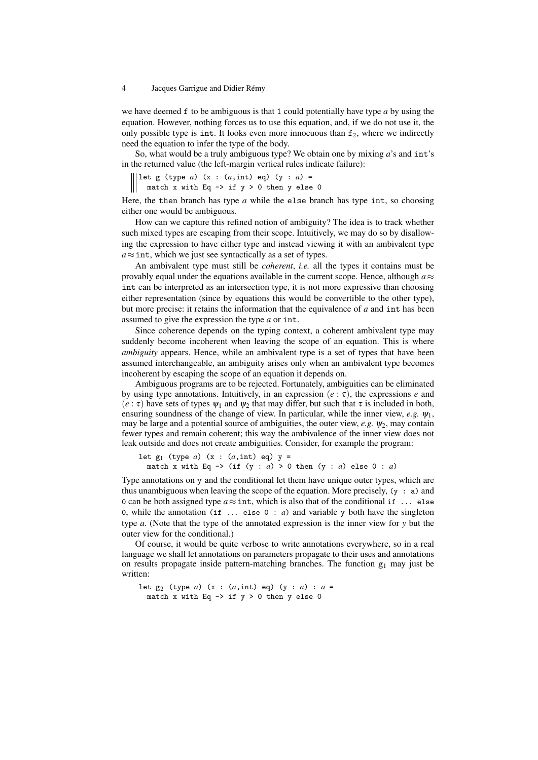we have deemed f to be ambiguous is that 1 could potentially have type *a* by using the equation. However, nothing forces us to use this equation, and, if we do not use it, the only possible type is int. It looks even more innocuous than  $f_2$ , where we indirectly need the equation to infer the type of the body.

So, what would be a truly ambiguous type? We obtain one by mixing *a*'s and int's in the returned value (the left-margin vertical rules indicate failure):

let g (type *a*) (x :  $(a, int)$  eq) (y : *a*) = match x with Eq  $\rightarrow$  if  $\rightarrow$  0.11 match  $x$  with Eq  $\rightarrow$  if  $y > 0$  then  $y$  else 0

Here, the then branch has type *a* while the else branch has type int, so choosing either one would be ambiguous.

How can we capture this refined notion of ambiguity? The idea is to track whether such mixed types are escaping from their scope. Intuitively, we may do so by disallowing the expression to have either type and instead viewing it with an ambivalent type  $a \approx \text{int}$ , which we just see syntactically as a set of types.

An ambivalent type must still be *coherent*, *i.e.* all the types it contains must be provably equal under the equations available in the current scope. Hence, although  $a \approx$ int can be interpreted as an intersection type, it is not more expressive than choosing either representation (since by equations this would be convertible to the other type), but more precise: it retains the information that the equivalence of *a* and int has been assumed to give the expression the type *a* or int.

Since coherence depends on the typing context, a coherent ambivalent type may suddenly become incoherent when leaving the scope of an equation. This is where *ambiguity* appears. Hence, while an ambivalent type is a set of types that have been assumed interchangeable, an ambiguity arises only when an ambivalent type becomes incoherent by escaping the scope of an equation it depends on.

Ambiguous programs are to be rejected. Fortunately, ambiguities can be eliminated by using type annotations. Intuitively, in an expression (*e* : τ), the expressions *e* and  $(e:\tau)$  have sets of types  $\psi_1$  and  $\psi_2$  that may differ, but such that  $\tau$  is included in both, ensuring soundness of the change of view. In particular, while the inner view,  $e.g. \psi_1$ , may be large and a potential source of ambiguities, the outer view, *e.g.*  $\psi_2$ , may contain fewer types and remain coherent; this way the ambivalence of the inner view does not leak outside and does not create ambiguities. Consider, for example the program:

```
let g_1 (type a) (x : (a, int) eq) y =match x with Eq \rightarrow (if (y : a) > 0 then (y : a) else 0 : a)
```
Type annotations on y and the conditional let them have unique outer types, which are thus unambiguous when leaving the scope of the equation. More precisely,  $(y : a)$  and 0 can be both assigned type  $a \approx \text{int}$ , which is also that of the conditional if ... else 0, while the annotation (if  $\dots$  else 0 : *a*) and variable y both have the singleton type *a*. (Note that the type of the annotated expression is the inner view for *y* but the outer view for the conditional.)

Of course, it would be quite verbose to write annotations everywhere, so in a real language we shall let annotations on parameters propagate to their uses and annotations on results propagate inside pattern-matching branches. The function  $g_1$  may just be written:

```
let g2 (type a) (x : (a,int) eq) (y : a) : a =
  match x with Eq \rightarrow if y > 0 then y else 0
```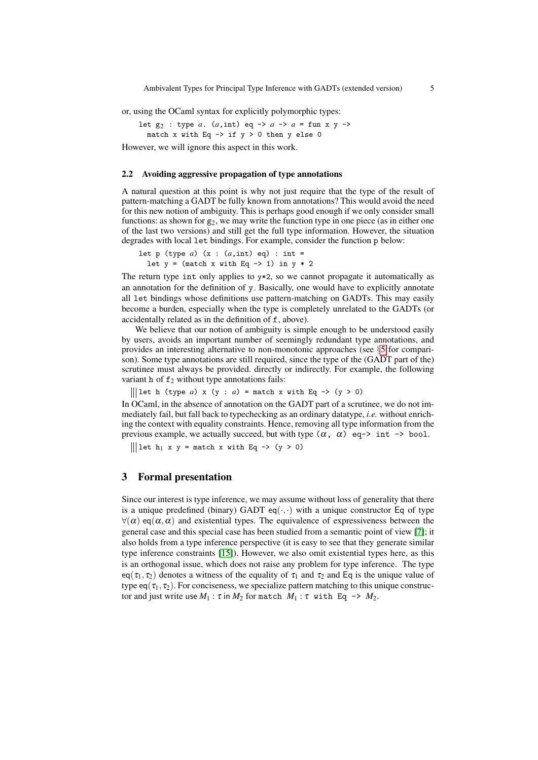or, using the OCaml syntax for explicitly polymorphic types:

```
let g_2 : type a. (a,int) eq \rightarrow a \rightarrow a = fun x y \rightarrowmatch x with Eq \rightarrow if y > 0 then y else 0
```
However, we will ignore this aspect in this work.

#### 2.2 Avoiding aggressive propagation of type annotations

A natural question at this point is why not just require that the type of the result of pattern-matching a GADT be fully known from annotations? This would avoid the need for this new notion of ambiguity. This is perhaps good enough if we only consider small functions: as shown for  $g_2$ , we may write the function type in one piece (as in either one of the last two versions) and still get the full type information. However, the situation degrades with local let bindings. For example, consider the function p below:

let p (type *a*) (x : (*a*,int) eq) : int = let  $y = (match x with Eq \rightarrow 1) in y * 2$ 

The return type int only applies to  $y*2$ , so we cannot propagate it automatically as an annotation for the definition of y. Basically, one would have to explicitly annotate all let bindings whose definitions use pattern-matching on GADTs. This may easily become a burden, especially when the type is completely unrelated to the GADTs (or accidentally related as in the definition of f, above).

We believe that our notion of ambiguity is simple enough to be understood easily by users, avoids an important number of seemingly redundant type annotations, and provides an interesting alternative to non-monotonic approaches (see §5 for comparison). Some type annotations are still required, since the type of the (GADT part of the) scrutinee must always be provided. directly or indirectly. For example, the following variant h of  $f_2$  without type annotations fails:

||| let h (type *a*) x (y : *a*) = match x with Eq -> (y > 0)

In OCaml, in the absence of annotation on the GADT part of a scrutinee, we do not immediately fail, but fall back to typechecking as an ordinary datatype, *i.e.* without enriching the context with equality constraints. Hence, removing all type information from the previous example, we actually succeed, but with type  $(\alpha, \alpha)$  eq-> int -> bool.

|| let  $h_1$  x y = match x with Eq -> (y > 0)

## 3 Formal presentation

Since our interest is type inference, we may assume without loss of generality that there is a unique predefined (binary) GADT eq( $\cdot$ , $\cdot$ ) with a unique constructor Eq of type  $\forall (\alpha)$  eq( $\alpha, \alpha$ ) and existential types. The equivalence of expressiveness between the general case and this special case has been studied from a semantic point of view [7]; it also holds from a type inference perspective (it is easy to see that they generate similar type inference constraints [15]). However, we also omit existential types here, as this is an orthogonal issue, which does not raise any problem for type inference. The type eq( $\tau_1, \tau_2$ ) denotes a witness of the equality of  $\tau_1$  and  $\tau_2$  and Eq is the unique value of type eq( $\tau_1, \tau_2$ ). For conciseness, we specialize pattern matching to this unique constructor and just write use  $M_1$ :  $\tau$  in  $M_2$  for match  $M_1$ :  $\tau$  with Eq  $\rightarrow$   $M_2$ .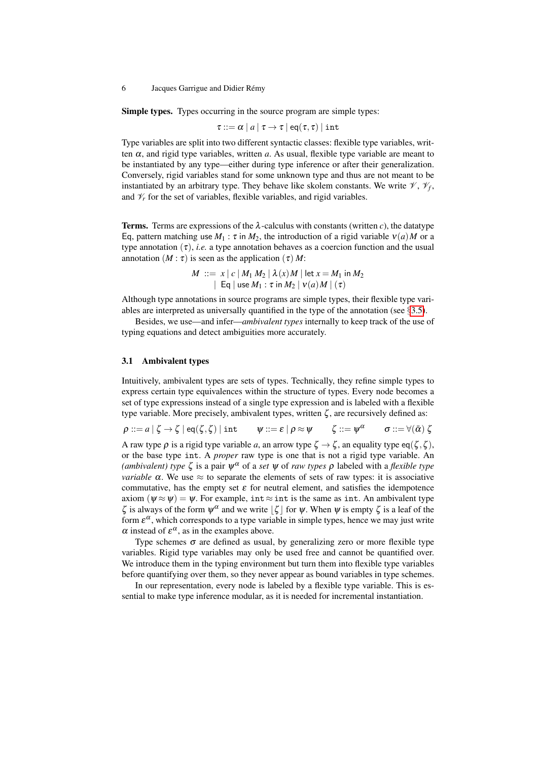Simple types. Types occurring in the source program are simple types:

$$
\tau ::= \alpha \mid a \mid \tau \rightarrow \tau \mid \text{eq}(\tau, \tau) \mid \text{int}
$$

Type variables are split into two different syntactic classes: flexible type variables, written  $\alpha$ , and rigid type variables, written  $\alpha$ . As usual, flexible type variable are meant to be instantiated by any type—either during type inference or after their generalization. Conversely, rigid variables stand for some unknown type and thus are not meant to be instantiated by an arbitrary type. They behave like skolem constants. We write  $\mathcal{V}, \mathcal{V}_f$ , and  $\mathcal{V}_r$  for the set of variables, flexible variables, and rigid variables.

**Terms.** Terms are expressions of the  $\lambda$ -calculus with constants (written *c*), the datatype Eq, pattern matching use  $M_1$ :  $\tau$  in  $M_2$ , the introduction of a rigid variable  $v(a)$  *M* or a type annotation  $(\tau)$ , *i.e.* a type annotation behaves as a coercion function and the usual annotation  $(M : \tau)$  is seen as the application  $(\tau)$  *M*:

$$
M ::= x | c | M_1 M_2 | \lambda(x) M | \text{let } x = M_1 \text{ in } M_2
$$
  
 
$$
\mid \text{ Eq } | \text{ use } M_1 : \tau \text{ in } M_2 | \nu(a) M | (\tau)
$$

Although type annotations in source programs are simple types, their flexible type variables are interpreted as universally quantified in the type of the annotation (see §3.5).

Besides, we use—and infer—*ambivalent types* internally to keep track of the use of typing equations and detect ambiguities more accurately.

## 3.1 Ambivalent types

Intuitively, ambivalent types are sets of types. Technically, they refine simple types to express certain type equivalences within the structure of types. Every node becomes a set of type expressions instead of a single type expression and is labeled with a flexible type variable. More precisely, ambivalent types, written  $\zeta$ , are recursively defined as:

$$
\rho ::= a | \zeta \to \zeta | eq(\zeta, \zeta) | \text{ int } \qquad \psi ::= \varepsilon | \rho \approx \psi \qquad \zeta ::= \psi^{\alpha} \qquad \sigma ::= \forall (\bar{\alpha}) \zeta
$$

A raw type  $\rho$  is a rigid type variable *a*, an arrow type  $\zeta \to \zeta$ , an equality type eq( $\zeta$ , $\zeta$ ), or the base type int. A *proper* raw type is one that is not a rigid type variable. An *(ambivalent) type* ζ is a pair ψ <sup>α</sup> of a *set* ψ of *raw types* ρ labeled with a *flexible type variable*  $\alpha$ . We use  $\approx$  to separate the elements of sets of raw types: it is associative commutative, has the empty set  $\varepsilon$  for neutral element, and satisfies the idempotence axiom ( $\psi \approx \psi$ ) =  $\psi$ . For example, int  $\approx$  int is the same as int. An ambivalent type  $\zeta$  is always of the form  $\psi^{\alpha}$  and we write  $\lfloor \zeta \rfloor$  for  $\psi$ . When  $\psi$  is empty  $\zeta$  is a leaf of the form  $\varepsilon^{\alpha}$ , which corresponds to a type variable in simple types, hence we may just write  $\alpha$  instead of  $\varepsilon^{\alpha}$ , as in the examples above.

Type schemes  $\sigma$  are defined as usual, by generalizing zero or more flexible type variables. Rigid type variables may only be used free and cannot be quantified over. We introduce them in the typing environment but turn them into flexible type variables before quantifying over them, so they never appear as bound variables in type schemes.

In our representation, every node is labeled by a flexible type variable. This is essential to make type inference modular, as it is needed for incremental instantiation.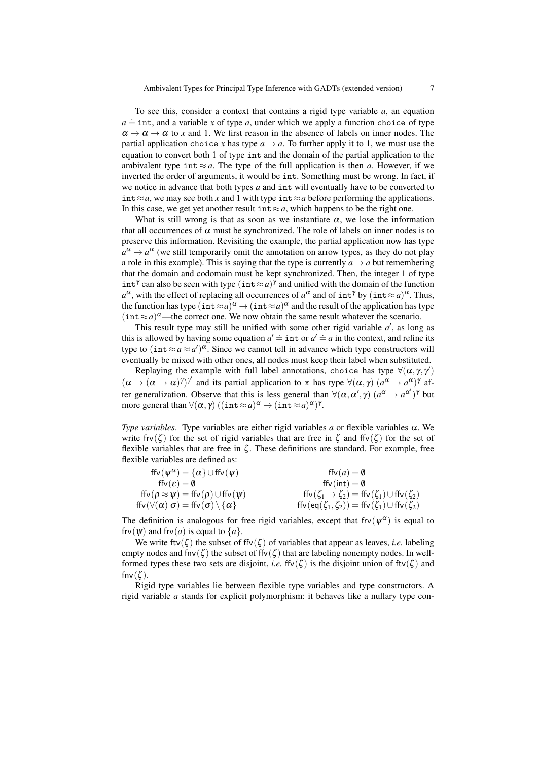To see this, consider a context that contains a rigid type variable *a*, an equation  $a \doteq \text{int}$ , and a variable *x* of type *a*, under which we apply a function choice of type  $\alpha \to \alpha \to \alpha$  to *x* and 1. We first reason in the absence of labels on inner nodes. The partial application choice *x* has type  $a \rightarrow a$ . To further apply it to 1, we must use the equation to convert both 1 of type int and the domain of the partial application to the ambivalent type int  $\approx a$ . The type of the full application is then *a*. However, if we inverted the order of arguments, it would be int. Something must be wrong. In fact, if we notice in advance that both types *a* and int will eventually have to be converted to int≈*a*, we may see both *x* and 1 with type int≈*a* before performing the applications. In this case, we get yet another result int  $\approx a$ , which happens to be the right one.

What is still wrong is that as soon as we instantiate  $\alpha$ , we lose the information that all occurrences of  $\alpha$  must be synchronized. The role of labels on inner nodes is to preserve this information. Revisiting the example, the partial application now has type  $a^{\alpha} \rightarrow a^{\alpha}$  (we still temporarily omit the annotation on arrow types, as they do not play a role in this example). This is saying that the type is currently  $a \rightarrow a$  but remembering that the domain and codomain must be kept synchronized. Then, the integer 1 of type int<sup>γ</sup> can also be seen with type  $(int \approx a)$ <sup>γ</sup> and unified with the domain of the function  $a^{\alpha}$ , with the effect of replacing all occurrences of  $a^{\alpha}$  and of  $\text{int}^{\gamma}$  by  $(\text{int} \approx a)^{\alpha}$ . Thus, the function has type  $(\text{int} \approx a)^{\alpha} \to (\text{int} \approx a)^{\alpha}$  and the result of the application has type  $(int \approx a)^\alpha$ —the correct one. We now obtain the same result whatever the scenario.

This result type may still be unified with some other rigid variable  $a'$ , as long as this is allowed by having some equation  $a' \doteq \text{int or } a' \doteq a$  in the context, and refine its type to  $(\text{int} \approx a \approx a')^{\alpha}$ . Since we cannot tell in advance which type constructors will eventually be mixed with other ones, all nodes must keep their label when substituted.

Replaying the example with full label annotations, choice has type  $\forall (\alpha, \gamma, \gamma')$  $(\alpha \to (\alpha \to \alpha)^{\gamma})^{\gamma}$  and its partial application to x has type  $\forall (\alpha, \gamma)$   $(a^{\alpha} \to a^{\alpha})^{\gamma}$  after generalization. Observe that this is less general than  $\forall (\alpha, \alpha', \gamma)$   $(a^{\alpha} \rightarrow a^{\alpha'})^{\gamma}$  but more general than  $\forall (\alpha, \gamma) \ ((\texttt{int} \approx a)^{\alpha} \rightarrow (\texttt{int} \approx a)^{\alpha})^{\gamma}.$ 

*Type variables.* Type variables are either rigid variables *a* or flexible variables α. We write frv $(\zeta)$  for the set of rigid variables that are free in  $\zeta$  and ffv $(\zeta)$  for the set of flexible variables that are free in  $\zeta$ . These definitions are standard. For example, free flexible variables are defined as:

| $\text{ffv}(\psi^{\alpha}) = \{\alpha\} \cup \text{ffv}(\psi)$                 | $ffv(a) = \emptyset$                                                             |
|--------------------------------------------------------------------------------|----------------------------------------------------------------------------------|
| $ffv(\varepsilon) = \emptyset$                                                 | $ffv(int) = \emptyset$                                                           |
| $\text{ffv}(\rho \approx \psi) = \text{ffv}(\rho) \cup \text{ffv}(\psi)$       | $\text{ffv}(\zeta_1 \to \zeta_2) = \text{ffv}(\zeta_1) \cup \text{ffv}(\zeta_2)$ |
| $\text{ffv}(\forall(\alpha) \sigma) = \text{ffv}(\sigma) \setminus \{\alpha\}$ | $\text{ffv}(eq(\zeta_1,\zeta_2)) = \text{ffv}(\zeta_1) \cup \text{ffv}(\zeta_2)$ |

The definition is analogous for free rigid variables, except that  $frv(\psi^{\alpha})$  is equal to frv( $\psi$ ) and frv(a) is equal to {a}.

We write ftv $(\zeta)$  the subset of ffv $(\zeta)$  of variables that appear as leaves, *i.e.* labeling empty nodes and fnv $(\zeta)$  the subset of ffv $(\zeta)$  that are labeling nonempty nodes. In wellformed types these two sets are disjoint, *i.e.* ffv $(\zeta)$  is the disjoint union of ftv $(\zeta)$  and  $fnv(\zeta)$ .

Rigid type variables lie between flexible type variables and type constructors. A rigid variable *a* stands for explicit polymorphism: it behaves like a nullary type con-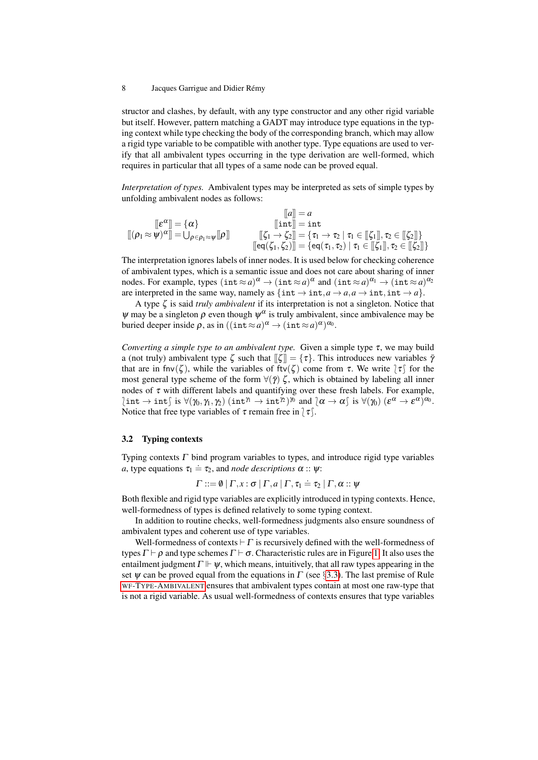structor and clashes, by default, with any type constructor and any other rigid variable but itself. However, pattern matching a GADT may introduce type equations in the typing context while type checking the body of the corresponding branch, which may allow a rigid type variable to be compatible with another type. Type equations are used to verify that all ambivalent types occurring in the type derivation are well-formed, which requires in particular that all types of a same node can be proved equal.

*Interpretation of types.* Ambivalent types may be interpreted as sets of simple types by unfolding ambivalent nodes as follows:

$$
\begin{aligned}\n\llbracket a \rrbracket &= a \\
\llbracket \epsilon^{\alpha} \rrbracket &= \{\alpha\} \\
\llbracket (\rho_1 \approx \psi)^{\alpha} \rrbracket &= \bigcup_{\rho \in \rho_1 \approx \psi} \llbracket \rho \rrbracket & \qquad \qquad \llbracket \text{int} \rrbracket &= \text{int} \\
\llbracket \zeta_1 \rightarrow \zeta_2 \rrbracket &= \{\tau_1 \rightarrow \tau_2 \mid \tau_1 \in [\![\zeta_1]\!], \tau_2 \in [\![\zeta_2]\!]\} \\
\llbracket \text{eq}(\zeta_1, \zeta_2) \rrbracket &= \{\text{eq}(\tau_1, \tau_2) \mid \tau_1 \in [\![\zeta_1]\!], \tau_2 \in [\![\zeta_2]\!]\}\n\end{aligned}
$$

The interpretation ignores labels of inner nodes. It is used below for checking coherence of ambivalent types, which is a semantic issue and does not care about sharing of inner nodes. For example, types  $(\text{int} \approx a)^{\alpha} \to (\text{int} \approx a)^{\alpha}$  and  $(\text{int} \approx a)^{\alpha_1} \to (\text{int} \approx a)^{\alpha_2}$ are interpreted in the same way, namely as  $\{\text{int} \to \text{int}, a \to a, a \to \text{int}, \text{int} \to a\}.$ 

A type ζ is said *truly ambivalent* if its interpretation is not a singleton. Notice that  $\psi$  may be a singleton  $\rho$  even though  $\psi^{\alpha}$  is truly ambivalent, since ambivalence may be buried deeper inside  $\rho$ , as in  $((\text{int} \approx a)^{\alpha} \rightarrow (\text{int} \approx a)^{\alpha})^{\alpha_0}$ .

*Converting a simple type to an ambivalent type.* Given a simple type τ, we may build a (not truly) ambivalent type  $\zeta$  such that  $\|\zeta\| = {\tau}.$  This introduces new variables  $\bar{\gamma}$ that are in fnv( $\zeta$ ), while the variables of ftv( $\zeta$ ) come from  $\tau$ . We write  $\tau$  for the most general type scheme of the form  $\forall (\bar{\gamma}) \zeta$ , which is obtained by labeling all inner nodes of  $\tau$  with different labels and quantifying over these fresh labels. For example,  $\left\{\int \mathrm{int} \to \mathrm{int}\right\}$  is  $\forall (\gamma_0, \gamma_1, \gamma_2)$   $(\mathrm{int}^{\gamma_1} \to \mathrm{int}^{\gamma_2})^{\gamma_0}$  and  $\left\{\alpha \to \alpha\right\}$  is  $\forall (\gamma_0)$   $(\varepsilon^{\alpha} \to \varepsilon^{\alpha})^{\alpha_0}$ . Notice that free type variables of  $\tau$  remain free in  $\tau$ .

## 3.2 Typing contexts

Typing contexts  $\Gamma$  bind program variables to types, and introduce rigid type variables  $a$ , type equations  $\tau_1 \doteq \tau_2$ , and *node descriptions*  $\alpha :: \psi$ :

$$
\Gamma ::= \emptyset \mid \Gamma, x : \sigma \mid \Gamma, a \mid \Gamma, \tau_1 \stackrel{.}{=} \tau_2 \mid \Gamma, \alpha :: \psi
$$

Both flexible and rigid type variables are explicitly introduced in typing contexts. Hence, well-formedness of types is defined relatively to some typing context.

In addition to routine checks, well-formedness judgments also ensure soundness of ambivalent types and coherent use of type variables.

Well-formedness of contexts  $\vdash \Gamma$  is recursively defined with the well-formedness of types  $\Gamma \vdash \rho$  and type schemes  $\Gamma \vdash \sigma$ . Characteristic rules are in Figure 1. It also uses the entailment judgment  $\Gamma \Vdash \psi$ , which means, intuitively, that all raw types appearing in the set  $\psi$  can be proved equal from the equations in  $\Gamma$  (see §3.3). The last premise of Rule WF-TYPE-AMBIVALENT ensures that ambivalent types contain at most one raw-type that is not a rigid variable. As usual well-formedness of contexts ensures that type variables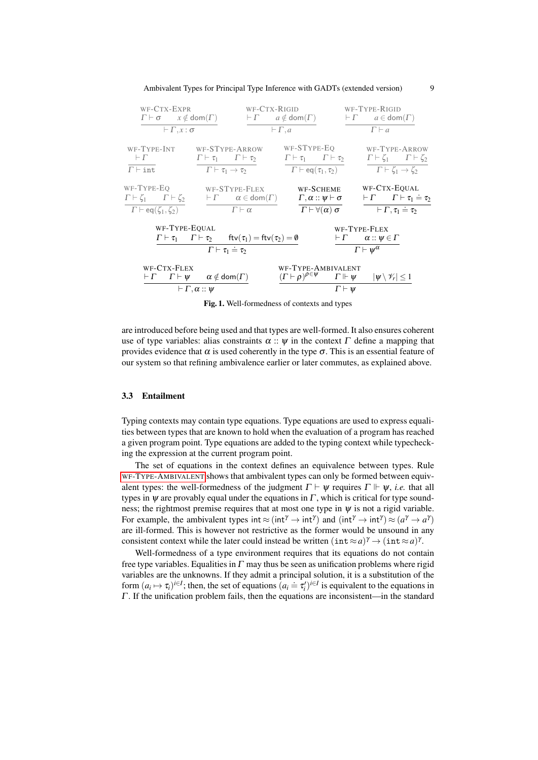#### Ambivalent Types for Principal Type Inference with GADTs (extended version) 9

| WF-CTX-EXPR                                                        |                                                                            | WF-CTX-RIGID                                                 | WF-TYPE-RIGID                                                                                |
|--------------------------------------------------------------------|----------------------------------------------------------------------------|--------------------------------------------------------------|----------------------------------------------------------------------------------------------|
| $\Gamma \vdash \sigma \qquad x \notin \text{dom}(\Gamma)$          |                                                                            | $\vdash \Gamma$ $a \notin \text{dom}(\Gamma)$                | $\vdash \Gamma$ $a \in \text{dom}(\Gamma)$                                                   |
| $\vdash \Gamma, x : \sigma$                                        |                                                                            | $\vdash \Gamma$ , a                                          | $\Gamma\vdash a$                                                                             |
| WF-TYPE-INT                                                        | WE-STYPE-ARROW                                                             | WF-STYPE-EO                                                  | WF-TYPE-ARROW                                                                                |
| $\vdash \Gamma$                                                    | $\Gamma \vdash \tau_1 \qquad \Gamma \vdash \tau_2$                         | $\Gamma \vdash \tau_1 \qquad \Gamma \vdash \tau_2$           | $\Gamma \vdash \zeta_1 \qquad \Gamma \vdash \zeta_2$                                         |
| $\Gamma \vdash \texttt{int}$                                       | $\Gamma\vdash \tau_1\to \tau_2$                                            | $\Gamma \vdash \text{eq}(\tau_1, \tau_2)$                    | $\Gamma \vdash \zeta_1 \rightarrow \zeta_2$                                                  |
| wf-Type-Eo                                                         | WE-STYPE-FLEX                                                              | WF-SCHEME                                                    | WF-CTX-EQUAL                                                                                 |
| $\Gamma \vdash \zeta_1 \qquad \Gamma \vdash \zeta_2$               | $\vdash \Gamma$ $\alpha \in \text{dom}(\Gamma)$                            | $\Gamma, \alpha :: \psi \vdash \sigma$                       | $\vdash \Gamma$ $\Gamma \vdash \tau_1 = \tau_2$                                              |
| $\Gamma \vdash \text{eq}(\zeta_1, \zeta_2)$                        | $\Gamma \vdash \alpha$                                                     | $\Gamma \vdash \forall(\alpha) \sigma$                       | $\vdash \Gamma, \tau_1 = \tau_2$                                                             |
| WF-TYPE-EQUAL<br>$\Gamma \vdash \tau_1 \quad \Gamma \vdash \tau_2$ | $ftv(\tau_1) = ftv(\tau_2) = \emptyset$<br>$\Gamma \vdash \tau_1 = \tau_2$ |                                                              | WF-TYPE-FLEX<br>$\vdash \Gamma$ $\alpha :: \psi \in \Gamma$<br>$\Gamma \vdash \Psi^{\alpha}$ |
| WF-CTX-FLEX<br>$\vdash \Gamma$ $\Gamma \vdash \Psi$                | $\alpha \notin \text{dom}(\Gamma)$<br>$\vdash \Gamma, \alpha :: \psi$      | WF-TYPE-AMBIVALENT<br>$(\Gamma \vdash \rho)^{\rho \in \Psi}$ | $\Gamma \Vdash \psi$<br>$ \psi \setminus \mathscr{V}_r  \leq 1$<br>$\Gamma \vdash \Psi$      |

Fig. 1. Well-formedness of contexts and types

are introduced before being used and that types are well-formed. It also ensures coherent use of type variables: alias constraints  $\alpha$  ::  $\psi$  in the context  $\Gamma$  define a mapping that provides evidence that  $\alpha$  is used coherently in the type  $\sigma$ . This is an essential feature of our system so that refining ambivalence earlier or later commutes, as explained above.

## 3.3 Entailment

Typing contexts may contain type equations. Type equations are used to express equalities between types that are known to hold when the evaluation of a program has reached a given program point. Type equations are added to the typing context while typechecking the expression at the current program point.

The set of equations in the context defines an equivalence between types. Rule WF-TYPE-AMBIVALENT shows that ambivalent types can only be formed between equivalent types: the well-formedness of the judgment  $\Gamma \vdash \psi$  requires  $\Gamma \Vdash \psi$ , *i.e.* that all types in  $\psi$  are provably equal under the equations in  $\Gamma$ , which is critical for type soundness; the rightmost premise requires that at most one type in  $\psi$  is not a rigid variable. For example, the ambivalent types int  $\approx (\text{int}^{\gamma} \to \text{int}^{\gamma})$  and  $(\text{int}^{\gamma} \to \text{int}^{\gamma}) \approx (a^{\gamma} \to a^{\gamma})$ are ill-formed. This is however not restrictive as the former would be unsound in any consistent context while the later could instead be written  $(\text{int} \approx a)^{\gamma} \rightarrow (\text{int} \approx a)^{\gamma}$ .

Well-formedness of a type environment requires that its equations do not contain free type variables. Equalities in  $\Gamma$  may thus be seen as unification problems where rigid variables are the unknowns. If they admit a principal solution, it is a substitution of the form  $(a_i \mapsto \tau_i)^{i \in I}$ ; then, the set of equations  $(a_i = \tau'_i)^{i \in I}$  is equivalent to the equations in Γ . If the unification problem fails, then the equations are inconsistent—in the standard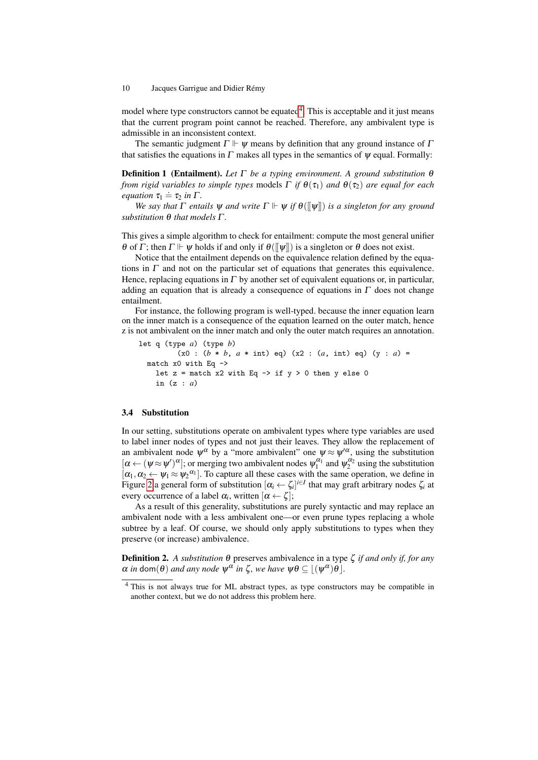model where type constructors cannot be equated<sup>4</sup>. This is acceptable and it just means that the current program point cannot be reached. Therefore, any ambivalent type is admissible in an inconsistent context.

The semantic judgment  $\Gamma \Vdash \psi$  means by definition that any ground instance of  $\Gamma$ that satisfies the equations in  $\Gamma$  makes all types in the semantics of  $\psi$  equal. Formally:

Definition 1 (Entailment). *Let* Γ *be a typing environment. A ground substitution* θ *from rigid variables to simple types* models  $\Gamma$  *if*  $\theta(\tau_1)$  *and*  $\theta(\tau_2)$  *are equal for each equation*  $\tau_1 \doteq \tau_2$  *in*  $\Gamma$ *.* 

*We say that*  $\Gamma$  *entails*  $\psi$  *and write*  $\Gamma \Vdash \psi$  *if*  $\theta(\psi)$  *is a singleton for any ground substitution* θ *that models* Γ *.*

This gives a simple algorithm to check for entailment: compute the most general unifier θ of Γ; then Γ  $\Vdash$  ψ holds if and only if  $θ$ ( $\lbrack \lbrack \Psi \rbrack$ ) is a singleton or θ does not exist.

Notice that the entailment depends on the equivalence relation defined by the equations in  $\Gamma$  and not on the particular set of equations that generates this equivalence. Hence, replacing equations in  $\Gamma$  by another set of equivalent equations or, in particular, adding an equation that is already a consequence of equations in  $\Gamma$  does not change entailment.

For instance, the following program is well-typed. because the inner equation learn on the inner match is a consequence of the equation learned on the outer match, hence z is not ambivalent on the inner match and only the outer match requires an annotation.

```
let q (type a) (type b)
         (x0 : (b * b, a * int) eq) (x2 : (a, int) eq) (y : a) =
  match x0 with Eq ->
    let z = match x2 with Eq \rightarrow if y > 0 then y else 0
    in (z : a)
```
#### 3.4 Substitution

In our setting, substitutions operate on ambivalent types where type variables are used to label inner nodes of types and not just their leaves. They allow the replacement of an ambivalent node  $\psi^{\alpha}$  by a "more ambivalent" one  $\psi \approx \psi'^{\alpha}$ , using the substitution  $[\alpha \leftarrow (\psi \approx \psi')^{\alpha}]$ ; or merging two ambivalent nodes  $\psi_1^{\alpha_1}$  and  $\psi_2^{\alpha_2}$  using the substitution  $[\alpha_1, \alpha_2 \leftarrow \psi_1 \approx \psi_2^{\alpha_1}]$ . To capture all these cases with the same operation, we define in Figure 2 a general form of substitution  $[\alpha_i \leftarrow \zeta_i]^{i \in I}$  that may graft arbitrary nodes  $\zeta_i$  at every occurrence of a label  $\alpha_i$ , written  $[\alpha \leftarrow \zeta];$ 

As a result of this generality, substitutions are purely syntactic and may replace an ambivalent node with a less ambivalent one—or even prune types replacing a whole subtree by a leaf. Of course, we should only apply substitutions to types when they preserve (or increase) ambivalence.

Definition 2. *A substitution* θ preserves ambivalence in a type ζ *if and only if, for any*  $\alpha$  *in* dom( $\theta$ ) *and any node*  $\psi^{\alpha}$  *in*  $\zeta$ *, we have*  $\psi \theta \subseteq$   $\lfloor (\psi^{\alpha})\theta \rfloor$ *.* 

<sup>4</sup> This is not always true for ML abstract types, as type constructors may be compatible in another context, but we do not address this problem here.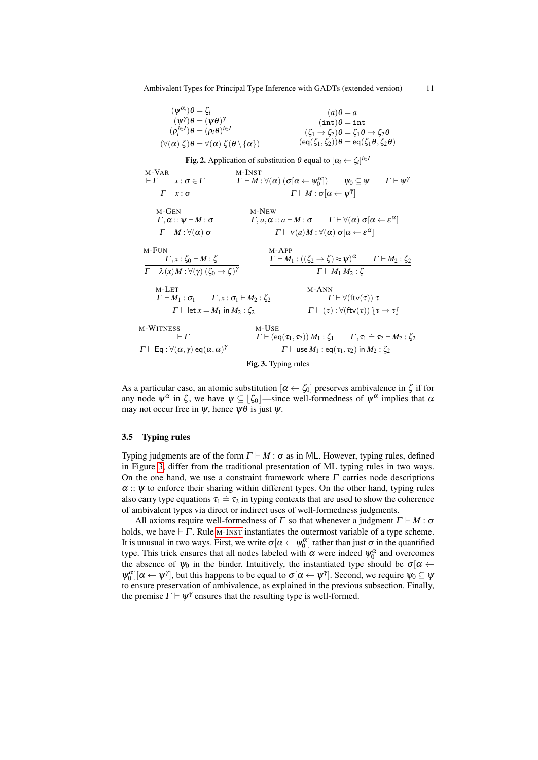Ambivalent Types for Principal Type Inference with GADTs (extended version) 11

$$
(\psi^{\alpha_i})\theta = \zeta_i
$$
  
\n
$$
(\psi^{\gamma})\theta = (\psi\theta)^{\gamma}
$$
  
\n
$$
(\rho_i^{i\in I})\theta = (\rho_i\theta)^{i\in I}
$$
  
\n
$$
(\forall(\alpha)\zeta)\theta = \forall(\alpha)\zeta(\theta\setminus\{\alpha\})
$$
  
\n
$$
(\forall(\alpha)\zeta)\theta = \forall(\alpha)\zeta(\theta\setminus\{\alpha\})
$$
  
\n
$$
(\forall(\alpha\zeta)\zeta) = \forall(\alpha\zeta)\zeta(\zeta)\zeta(\zeta)\zeta(\zeta)
$$
  
\n
$$
(\forall(\alpha\zeta)\zeta) = \forall(\alpha\zeta)\zeta(\zeta)\zeta(\zeta)
$$

**Fig. 2.** Application of substitution  $\theta$  equal to  $[\alpha_i \leftarrow \zeta_i]^{i \in I}$ 

$$
\frac{M-VAR}{\Gamma \vdash x : \sigma} \qquad \frac{M-INST}{\Gamma \vdash M : \forall (\alpha) (\sigma[\alpha \leftarrow \psi_0^{\alpha}])} \qquad \psi_0 \subseteq \psi \qquad \Gamma \vdash \psi^{\gamma}
$$
\n
$$
\frac{M-GEN}{\Gamma \vdash x : \sigma} \qquad \frac{M-NEW}{\Gamma \vdash M : \forall (\alpha) \sigma} \qquad \frac{N-NEW}{\Gamma \vdash M : \sigma[\alpha \leftarrow \psi^{\gamma}]} \qquad \frac{M-NEW}{\Gamma \vdash M : \forall (\alpha) \sigma} \qquad \frac{N-NEW}{\Gamma \vdash \psi(\alpha) M : \forall (\alpha) \sigma[\alpha \leftarrow \varepsilon^{\alpha}]} \qquad \frac{M-APP}{\Gamma \vdash \psi(\alpha) M : \forall (\alpha) \sigma[\alpha \leftarrow \varepsilon^{\alpha}]} \qquad \frac{M-APP}{\Gamma \vdash M_1 : ((\zeta_2 \rightarrow \zeta) \approx \psi)^{\alpha} \qquad \Gamma \vdash M_2 : \zeta_2}{\Gamma \vdash M_1 \cdot \sigma_1 \qquad \Gamma, x : \sigma_1 \vdash M_2 : \zeta_2} \qquad \frac{M-ANN}{\Gamma \vdash (\tau) : \forall (\text{ftv}(\tau)) \tau} \qquad \frac{M-ANN}{\Gamma \vdash (\tau) : \forall (\text{ftv}(\tau)) \tau \rightarrow \tau} \qquad \frac{M-USE}{\Gamma \vdash (\tau) : \forall (\text{ftv}(\tau)) \tau \rightarrow \tau} \qquad \frac{M-USE}{\Gamma \vdash \text{Eq} : \forall (\alpha, \gamma) \text{ eq}(\alpha, \alpha)^{\gamma}} \qquad \frac{M-USE}{\Gamma \vdash \text{use } M_1 : \text{eq}(\tau_1, \tau_2) \text{ in } M_2 : \zeta_2} \qquad \frac{M-USE}{\Gamma \vdash \text{use } M_1 : \text{eq}(\tau_1, \tau_2) \text{ in } M_2 : \zeta_2} \qquad \frac{M-USE}{\Gamma \vdash \text{Eq} : \forall (\alpha, \gamma) \text{ eq}(\alpha, \alpha)^{\gamma}} \qquad \frac{M-USE}{\Gamma \vdash \text{Use } M_1 : \text{eq}(\tau_1, \tau_2) \text{ in } M_2 : \zeta_2} \qquad \frac{M-USE}{\Gamma \vdash \text{Eq} : \forall (\alpha, \gamma) \text{
$$

As a particular case, an atomic substitution  $[\alpha \leftarrow \zeta_0]$  preserves ambivalence in  $\zeta$  if for any node  $\psi^{\alpha}$  in  $\zeta$ , we have  $\psi \subseteq [\zeta_0]$ —since well-formedness of  $\psi^{\alpha}$  implies that  $\alpha$ may not occur free in  $\psi$ , hence  $\psi \theta$  is just  $\psi$ .

## 3.5 Typing rules

Typing judgments are of the form  $\Gamma \vdash M : \sigma$  as in ML. However, typing rules, defined in Figure 3, differ from the traditional presentation of ML typing rules in two ways. On the one hand, we use a constraint framework where  $\Gamma$  carries node descriptions  $\alpha$  ::  $\psi$  to enforce their sharing within different types. On the other hand, typing rules also carry type equations  $\tau_1 = \tau_2$  in typing contexts that are used to show the coherence of ambivalent types via direct or indirect uses of well-formedness judgments.

All axioms require well-formedness of  $\Gamma$  so that whenever a judgment  $\Gamma \vdash M : \sigma$ holds, we have  $\vdash \Gamma$ . Rule M-INST instantiates the outermost variable of a type scheme. It is unusual in two ways. First, we write  $\sigma[\alpha\leftarrow\psi^{\alpha}_0]$  rather than just  $\sigma$  in the quantified type. This trick ensures that all nodes labeled with  $\alpha$  were indeed  $\psi_0^{\alpha}$  and overcomes the absence of  $\psi_0$  in the binder. Intuitively, the instantiated type should be  $\sigma/\alpha \leftarrow$  $\psi_0^{\alpha}][\alpha \leftarrow \psi^{\gamma}],$  but this happens to be equal to  $\sigma[\alpha \leftarrow \psi^{\gamma}]$ . Second, we require  $\psi_0 \subseteq \psi$ to ensure preservation of ambivalence, as explained in the previous subsection. Finally, the premise  $\Gamma \vdash \psi^{\gamma}$  ensures that the resulting type is well-formed.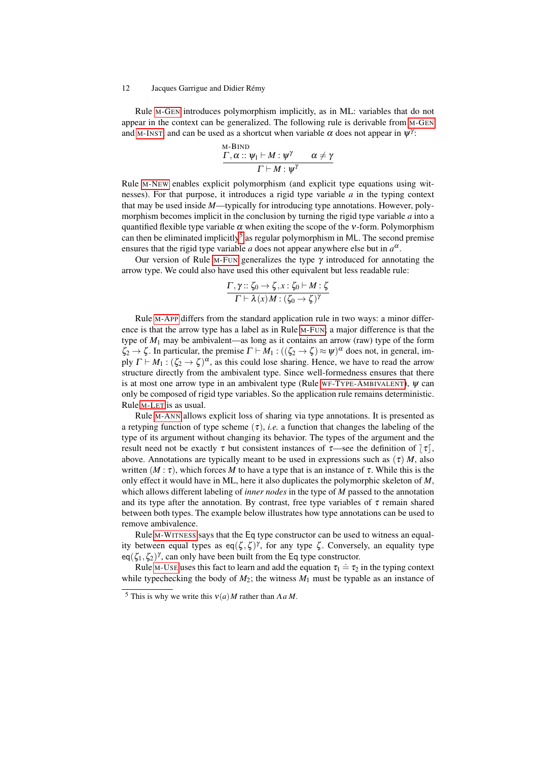Rule M-GEN introduces polymorphism implicitly, as in ML: variables that do not appear in the context can be generalized. The following rule is derivable from M-GEN and M-INST, and can be used as a shortcut when variable  $\alpha$  does not appear in  $\psi^{\gamma}$ :

$$
\frac{\Gamma, \alpha::\psi_1 \vdash M : \psi^\gamma \qquad \alpha \neq \gamma}{\Gamma \vdash M : \psi^\gamma}
$$

Rule M-NEW enables explicit polymorphism (and explicit type equations using witnesses). For that purpose, it introduces a rigid type variable *a* in the typing context that may be used inside *M*—typically for introducing type annotations. However, polymorphism becomes implicit in the conclusion by turning the rigid type variable *a* into a quantified flexible type variable  $\alpha$  when exiting the scope of the v-form. Polymorphism can then be eliminated implicitly<sup>5</sup> as regular polymorphism in ML. The second premise ensures that the rigid type variable  $a$  does not appear anywhere else but in  $a^{\alpha}$ .

Our version of Rule M-FUN generalizes the type  $\gamma$  introduced for annotating the arrow type. We could also have used this other equivalent but less readable rule:

$$
\frac{\Gamma,\gamma::\zeta_0\to\zeta,x:\zeta_0\vdash M:\zeta}{\Gamma\vdash\lambda(x)M:(\zeta_0\to\zeta)^\gamma}
$$

Rule M-APP differs from the standard application rule in two ways: a minor difference is that the arrow type has a label as in Rule M-FUN; a major difference is that the type of *M*<sup>1</sup> may be ambivalent—as long as it contains an arrow (raw) type of the form  $\zeta_2 \to \zeta$ . In particular, the premise  $\Gamma \vdash M_1 : ((\zeta_2 \to \zeta) \approx \psi)^\alpha$  does not, in general, imply  $\Gamma \vdash M_1 : (\zeta_2 \to \zeta)^{\alpha}$ , as this could lose sharing. Hence, we have to read the arrow structure directly from the ambivalent type. Since well-formedness ensures that there is at most one arrow type in an ambivalent type (Rule WF-TYPE-AMBIVALENT),  $\psi$  can only be composed of rigid type variables. So the application rule remains deterministic. Rule M-LET is as usual.

Rule M-ANN allows explicit loss of sharing via type annotations. It is presented as a retyping function of type scheme  $(\tau)$ , *i.e.* a function that changes the labeling of the type of its argument without changing its behavior. The types of the argument and the result need not be exactly  $\tau$  but consistent instances of  $\tau$ —see the definition of  $\tau$ , above. Annotations are typically meant to be used in expressions such as  $(\tau)$  *M*, also written  $(M : \tau)$ , which forces M to have a type that is an instance of  $\tau$ . While this is the only effect it would have in ML, here it also duplicates the polymorphic skeleton of *M*, which allows different labeling of *inner nodes* in the type of *M* passed to the annotation and its type after the annotation. By contrast, free type variables of  $\tau$  remain shared between both types. The example below illustrates how type annotations can be used to remove ambivalence.

Rule M-WITNESS says that the Eq type constructor can be used to witness an equality between equal types as eq $(\zeta, \zeta)^\gamma$ , for any type  $\zeta$ . Conversely, an equality type eq $(\zeta_1, \zeta_2)^\gamma$ , can only have been built from the Eq type constructor.

Rule M-USE uses this fact to learn and add the equation  $\tau_1 \doteq \tau_2$  in the typing context while typechecking the body of  $M_2$ ; the witness  $M_1$  must be typable as an instance of

<sup>&</sup>lt;sup>5</sup> This is why we write this  $v(a)$  *M* rather than  $\Lambda a$  *M*.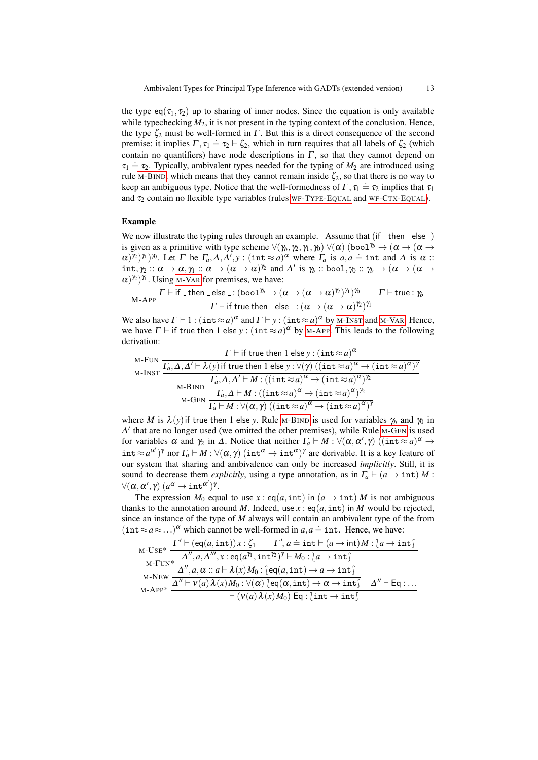the type  $eq(\tau_1, \tau_2)$  up to sharing of inner nodes. Since the equation is only available while typechecking  $M_2$ , it is not present in the typing context of the conclusion. Hence, the type  $\zeta_2$  must be well-formed in  $\Gamma$ . But this is a direct consequence of the second premise: it implies  $\Gamma$ ,  $\tau_1 = \tau_2 \vdash \zeta_2$ , which in turn requires that all labels of  $\zeta_2$  (which contain no quantifiers) have node descriptions in  $\Gamma$ , so that they cannot depend on  $\tau_1 \doteq \tau_2$ . Typically, ambivalent types needed for the typing of *M*<sub>2</sub> are introduced using rule M-BIND, which means that they cannot remain inside  $\zeta_2$ , so that there is no way to keep an ambiguous type. Notice that the well-formedness of  $\Gamma$ ,  $\tau_1 = \tau_2$  implies that  $\tau_1$ and  $\tau_2$  contain no flexible type variables (rules WF-TYPE-EQUAL and WF-CTX-EQUAL).

## Example

We now illustrate the typing rules through an example. Assume that  $(if_t - then_t = else_t)$ is given as a primitive with type scheme  $\forall (\gamma_1, \gamma_2, \gamma_1, \gamma_0)$   $\forall (\alpha)$  (bool $\psi \rightarrow (\alpha \rightarrow \alpha)$ )  $\alpha$ )  $\alpha$ )  $\alpha$ ) if ( $\alpha$  is  $\alpha$ ) if ( $\alpha$ ) is  $\alpha$  : ( $\alpha$ ) if ( $\alpha$ ) is  $\alpha$  is  $\alpha$ ). Let  $\Gamma$  be  $\Gamma_a$ ,  $\Delta$ ,  $\Delta'$ ,  $y$  : (int  $\approx$   $a$ ) $\alpha$  where  $\Gamma_a$  is  $a$ ,  $a \doteq$  int and  $\Delta$  is  $\alpha$  :: int,  $\gamma_2 :: \alpha \to \alpha, \gamma_1 :: \alpha \to (\alpha \to \alpha)^{\gamma_2}$  and  $\varDelta'$  is  $\gamma_b ::$  bool,  $\gamma_0 :: \gamma_b \to (\alpha \to (\alpha \to \alpha)^{\gamma_1}$  $(\alpha)^{\frac{n}{2}}$ <sup>n</sup>. Using M-VAR for premises, we have:

$$
\text{M-APP } \frac{\Gamma \vdash \text{if } \_\text{then } \_\text{else } \_\text{: } (\text{bool}^{\gamma_b} \to (\alpha \to (\alpha \to \alpha)^{\gamma_b})^{\gamma_l})^{\gamma_b} \qquad \Gamma \vdash \text{true } \colon \gamma_b}{\Gamma \vdash \text{if true then } \_\text{else } \_\text{: } (\alpha \to (\alpha \to \alpha)^{\gamma_2})^{\gamma_l}}
$$

We also have  $\Gamma \vdash 1$  :  $(\texttt{int} \approx a)^\alpha$  and  $\Gamma \vdash y$  :  $(\texttt{int} \approx a)^\alpha$  by M-INST and M-VAR. Hence, we have  $\Gamma \vdash$  if true then 1 else  $y : (\text{int} \approx a)^{\alpha}$  by M-APP. This leads to the following derivation: Γ ` if true then 1 else *y* : (int≈*a*)

M-FUN  
\nM-IVS  
\n
$$
\frac{\Gamma \vdash \text{if true then 1 else } y : (\text{int} \approx a)^{\alpha}}{M\text{-NST}} \frac{\Gamma_a, \Delta, \Delta' \vdash \lambda(y) \text{ if true then 1 else } y : \forall(\gamma) \ ((\text{int} \approx a)^{\alpha} \to (\text{int} \approx a)^{\alpha})^{\gamma}}{M\text{-BIND}} \frac{\Gamma_a, \Delta, \Delta' \vdash M : ((\text{int} \approx a)^{\alpha} \to (\text{int} \approx a)^{\alpha})^{\gamma}}{\Gamma_a, \Delta \vdash M : ((\text{int} \approx a)^{\alpha} \to (\text{int} \approx a)^{\alpha})^{\gamma}}
$$
\n
$$
\frac{\Gamma_a \vdash M : \forall(\alpha, \gamma) \ ((\text{int} \approx a)^{\alpha} \to (\text{int} \approx a)^{\alpha})^{\gamma}}{\Gamma_a \vdash M : \forall(\alpha, \gamma) \ ((\text{int} \approx a)^{\alpha} \to (\text{int} \approx a)^{\alpha})^{\gamma}}
$$

where *M* is  $\lambda(y)$  if true then 1 else *y*. Rule M-BIND is used for variables  $\gamma_b$  and  $\gamma_0$  in  $\Delta'$  that are no longer used (we omitted the other premises), while Rule M-GEN is used for variables  $\alpha$  and  $\gamma_2$  in  $\Delta$ . Notice that neither  $\Gamma_a \vdash M : \forall (\alpha, \alpha', \gamma)$  ((int $\alpha \approx a$ )<sup> $\alpha \rightarrow a$ </sup> int≈*a* α 0 ) <sup>γ</sup> nor Γ*<sup>a</sup>* ` *M* : ∀(α, γ) (int<sup>α</sup> → int<sup>α</sup> ) γ are derivable. It is a key feature of our system that sharing and ambivalence can only be increased *implicitly*. Still, it is sound to decrease them *explicitly*, using a type annotation, as in  $\Gamma_a \vdash (a \rightarrow \text{int}) M$ :  $\forall (\alpha, \alpha', \gamma) \ (a^\alpha \rightarrow \texttt{int}^{\alpha'})^\gamma.$ 

The expression  $M_0$  equal to use  $x : eq(a, int)$  in  $(a \rightarrow int)$  *M* is not ambiguous thanks to the annotation around *M*. Indeed, use  $x : \text{eq}(a, \text{int})$  in *M* would be rejected, since an instance of the type of *M* always will contain an ambivalent type of the from (int≈*a*≈...)<sup> $\alpha$ </sup> which cannot be well-formed in *a*,*a* = int. Hence, we have:

$$
\begin{array}{ll} \displaystyle I' \vdash (\mathrm{eq}(a, \mathrm{int})) \, x \colon \zeta_1 \quad \ \ \Gamma', a \doteq \mathrm{int} \vdash (a \rightarrow \mathrm{int}) \, M \colon \mathcal{U} \rightarrow \mathrm{int} \mathcal{V} \\ \text{M-FUN*} & \xrightarrow{\Delta'', a, \Delta''', x \colon \mathrm{eq}(a'^n, \mathrm{int}^{\mathcal{D}})' \vdash M_0 \colon \mathcal{U} \rightarrow \mathrm{int} \mathcal{V} \\ \text{M-FUN*} & \xrightarrow{\Delta'', a, \alpha \colon \mathcal{U} \rightarrow \lambda(x) M_0 \colon \mathcal{U} \neq \mathcal{Q}(a, \mathrm{int}) \rightarrow a \rightarrow \mathrm{int} \mathcal{V} \\ \text{M-NEW} & \xrightarrow{\Delta'' \vdash \mathcal{V}(a) \, \lambda(x) M_0 \colon \forall (\alpha) \, \mathcal{U} \neq \mathcal{Q}(\alpha, \mathrm{int}) \rightarrow \alpha \rightarrow \mathrm{int} \mathcal{V} \quad \Delta'' \vdash \mathrm{Eq} \colon \ldots \\ & \qquad \qquad \vdash (\mathcal{V}(a) \, \lambda(x) M_0) \, \mathrm{Eq} \colon \mathcal{U} \text{int} \rightarrow \mathrm{int} \mathcal{V} \end{array}
$$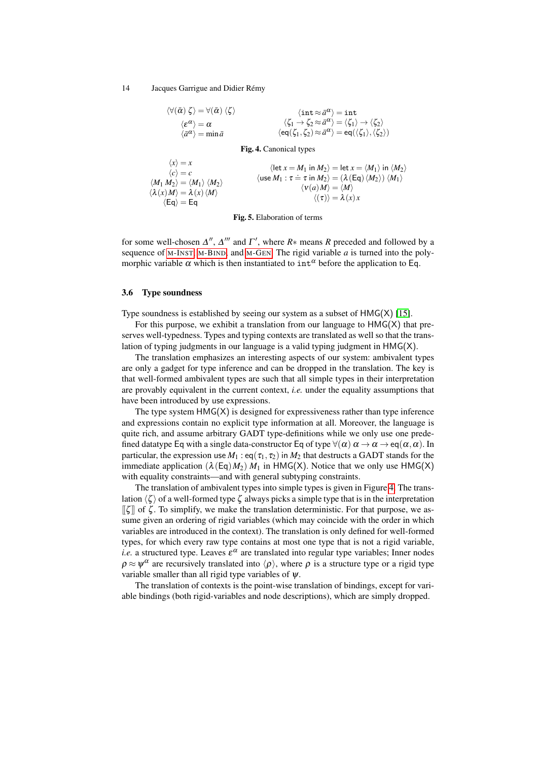$$
\begin{array}{ccc} \langle \forall (\bar{\alpha}) \; \zeta \rangle = \forall (\bar{\alpha}) \; \langle \zeta \rangle & \langle \text{int} \approx \bar{a}^{\alpha} \rangle = \text{int} \\ \langle \epsilon^{\alpha} \rangle = \alpha & \langle \zeta_1 \rightarrow \zeta_2 \approx \bar{a}^{\alpha} \rangle = \langle \zeta_1 \rangle \rightarrow \langle \zeta_2 \rangle \\ \langle \bar{a}^{\alpha} \rangle = \min \bar{a} & \langle \text{eq}(\zeta_1, \zeta_2) \approx \bar{a}^{\alpha} \rangle = \text{eq}(\langle \zeta_1 \rangle, \langle \zeta_2 \rangle) \end{array}
$$

Fig. 4. Canonical types

$$
\langle x \rangle = x
$$
  
\n
$$
\langle c \rangle = c
$$
  
\n
$$
\langle M_1 M_2 \rangle = \langle M_1 \rangle \langle M_2 \rangle
$$
  
\n
$$
\langle M_1 M_2 \rangle = \langle M_1 \rangle \langle M_2 \rangle
$$
  
\n
$$
\langle x \rangle = \langle M_1 \rangle \langle M_2 \rangle
$$
  
\n
$$
\langle x \rangle = \langle M_1 \rangle \langle M_2 \rangle
$$
  
\n
$$
\langle x \rangle = \langle M_1 \rangle \langle M_2 \rangle
$$
  
\n
$$
\langle x \rangle = \langle M_1 \rangle \langle M_2 \rangle
$$
  
\n
$$
\langle x \rangle = \langle M_1 \rangle \langle M_2 \rangle
$$
  
\n
$$
\langle x \rangle = \langle M_1 \rangle \langle M_2 \rangle
$$
  
\n
$$
\langle x \rangle = \langle M_1 \rangle \langle M_2 \rangle
$$
  
\n
$$
\langle x \rangle = \langle M_1 \rangle \langle M_2 \rangle
$$
  
\n
$$
\langle x \rangle = \langle M_1 \rangle \langle M_2 \rangle
$$
  
\n
$$
\langle x \rangle = \langle M_1 \rangle \langle M_2 \rangle
$$
  
\n
$$
\langle x \rangle = \langle M_1 \rangle \langle M_2 \rangle
$$
  
\n
$$
\langle x \rangle = \langle M_1 \rangle \langle M_2 \rangle
$$
  
\n
$$
\langle x \rangle = \langle M_1 \rangle \langle M_2 \rangle
$$
  
\n
$$
\langle x \rangle = \langle M_1 \rangle \langle M_2 \rangle
$$
  
\n
$$
\langle x \rangle = \langle M_1 \rangle \langle M_2 \rangle
$$
  
\n
$$
\langle x \rangle = \langle M_1 \rangle \langle M_2 \rangle
$$
  
\n
$$
\langle x \rangle = \langle M_1 \rangle \langle M_2 \rangle
$$
  
\n
$$
\langle x \rangle = \langle M_1 \rangle \langle M_2 \rangle
$$
  
\n
$$
\langle x \rangle = \langle M_1 \rangle \langle M_2 \rangle
$$
  
\n
$$
\langle x \rangle = \langle M_1 \rangle \langle M_2 \rangle
$$
  
\n
$$
\langle x \rangle = \langle M_1 \rangle \langle M_2 \rangle
$$
  
\n
$$
\
$$

Fig. 5. Elaboration of terms

for some well-chosen  $\Delta''$ ,  $\Delta'''$  and  $\Gamma'$ , where  $R*$  means  $R$  preceded and followed by a sequence of  $M$ -INST,  $M$ -BIND, and  $M$ -GEN. The rigid variable  $a$  is turned into the polymorphic variable  $\alpha$  which is then instantiated to int<sup> $\alpha$ </sup> before the application to Eq.

## 3.6 Type soundness

Type soundness is established by seeing our system as a subset of  $HMG(X)$  [15].

For this purpose, we exhibit a translation from our language to  $HMG(X)$  that preserves well-typedness. Types and typing contexts are translated as well so that the translation of typing judgments in our language is a valid typing judgment in HMG(X).

The translation emphasizes an interesting aspects of our system: ambivalent types are only a gadget for type inference and can be dropped in the translation. The key is that well-formed ambivalent types are such that all simple types in their interpretation are provably equivalent in the current context, *i.e.* under the equality assumptions that have been introduced by use expressions.

The type system  $HMG(X)$  is designed for expressiveness rather than type inference and expressions contain no explicit type information at all. Moreover, the language is quite rich, and assume arbitrary GADT type-definitions while we only use one predefined datatype Eq with a single data-constructor Eq of type  $\forall (\alpha) \alpha \rightarrow \alpha \rightarrow eq(\alpha, \alpha)$ . In particular, the expression use  $M_1$ : eq( $\tau_1$ ,  $\tau_2$ ) in  $M_2$  that destructs a GADT stands for the immediate application  $(\lambda(\text{Eq})M_2) M_1$  in HMG(X). Notice that we only use HMG(X) with equality constraints—and with general subtyping constraints.

The translation of ambivalent types into simple types is given in Figure 4. The translation  $\langle \zeta \rangle$  of a well-formed type  $\zeta$  always picks a simple type that is in the interpretation  $\mathbb{K}$ ] of  $\zeta$ . To simplify, we make the translation deterministic. For that purpose, we assume given an ordering of rigid variables (which may coincide with the order in which variables are introduced in the context). The translation is only defined for well-formed types, for which every raw type contains at most one type that is not a rigid variable, *i.e.* a structured type. Leaves  $\varepsilon^{\alpha}$  are translated into regular type variables; Inner nodes  $\rho \approx \psi^{\alpha}$  are recursively translated into  $\langle \rho \rangle$ , where  $\rho$  is a structure type or a rigid type variable smaller than all rigid type variables of  $\psi$ .

The translation of contexts is the point-wise translation of bindings, except for variable bindings (both rigid-variables and node descriptions), which are simply dropped.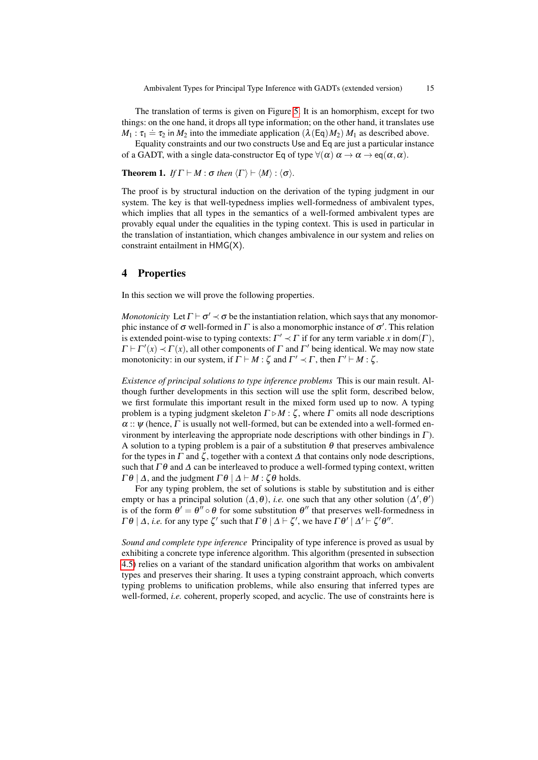The translation of terms is given on Figure 5. It is an homorphism, except for two things: on the one hand, it drops all type information; on the other hand, it translates use  $M_1$ :  $\tau_1 \doteq \tau_2$  in  $M_2$  into the immediate application ( $\lambda$  (Eq) $M_2$ )  $M_1$  as described above.

Equality constraints and our two constructs Use and Eq are just a particular instance of a GADT, with a single data-constructor Eq of type  $\forall (\alpha) \alpha \rightarrow \alpha \rightarrow eq(\alpha, \alpha)$ .

**Theorem 1.** *If*  $\Gamma \vdash M : \sigma$  *then*  $\langle \Gamma \rangle \vdash \langle M \rangle : \langle \sigma \rangle$ *.* 

The proof is by structural induction on the derivation of the typing judgment in our system. The key is that well-typedness implies well-formedness of ambivalent types, which implies that all types in the semantics of a well-formed ambivalent types are provably equal under the equalities in the typing context. This is used in particular in the translation of instantiation, which changes ambivalence in our system and relies on constraint entailment in HMG(X).

## 4 Properties

In this section we will prove the following properties.

*Monotonicity* Let  $\Gamma \vdash \sigma' \prec \sigma$  be the instantiation relation, which says that any monomorphic instance of  $\sigma$  well-formed in  $\Gamma$  is also a monomorphic instance of  $\sigma'$ . This relation is extended point-wise to typing contexts:  $\Gamma' \prec \Gamma$  if for any term variable *x* in dom( $\Gamma$ ),  $\Gamma \vdash \Gamma'(x) \prec \Gamma(x)$ , all other components of  $\Gamma$  and  $\Gamma'$  being identical. We may now state monotonicity: in our system, if  $\Gamma \vdash M : \zeta$  and  $\Gamma' \prec \Gamma$ , then  $\Gamma' \vdash M : \zeta$ .

*Existence of principal solutions to type inference problems* This is our main result. Although further developments in this section will use the split form, described below, we first formulate this important result in the mixed form used up to now. A typing problem is a typing judgment skeleton  $\Gamma \triangleright M : \zeta$ , where  $\Gamma$  omits all node descriptions  $\alpha$  ::  $\psi$  (hence,  $\Gamma$  is usually not well-formed, but can be extended into a well-formed environment by interleaving the appropriate node descriptions with other bindings in  $\Gamma$ ). A solution to a typing problem is a pair of a substitution  $\theta$  that preserves ambivalence for the types in  $\Gamma$  and  $\zeta$ , together with a context  $\Delta$  that contains only node descriptions, such that  $\Gamma \theta$  and  $\Delta$  can be interleaved to produce a well-formed typing context, written  $\Gamma \theta \mid \Delta$ , and the judgment  $\Gamma \theta \mid \Delta \vdash M : \zeta \theta$  holds.

For any typing problem, the set of solutions is stable by substitution and is either empty or has a principal solution  $(\Delta, \theta)$ , *i.e.* one such that any other solution  $(\Delta', \theta')$ is of the form  $\theta' = \theta'' \circ \theta$  for some substitution  $\theta''$  that preserves well-formedness in  $\Gamma \theta \mid \Delta$ , *i.e.* for any type  $\zeta'$  such that  $\Gamma \theta \mid \Delta \vdash \zeta'$ , we have  $\Gamma \theta' \mid \Delta' \vdash \zeta' \theta''$ .

*Sound and complete type inference* Principality of type inference is proved as usual by exhibiting a concrete type inference algorithm. This algorithm (presented in subsection 4.5) relies on a variant of the standard unification algorithm that works on ambivalent types and preserves their sharing. It uses a typing constraint approach, which converts typing problems to unification problems, while also ensuring that inferred types are well-formed, *i.e.* coherent, properly scoped, and acyclic. The use of constraints here is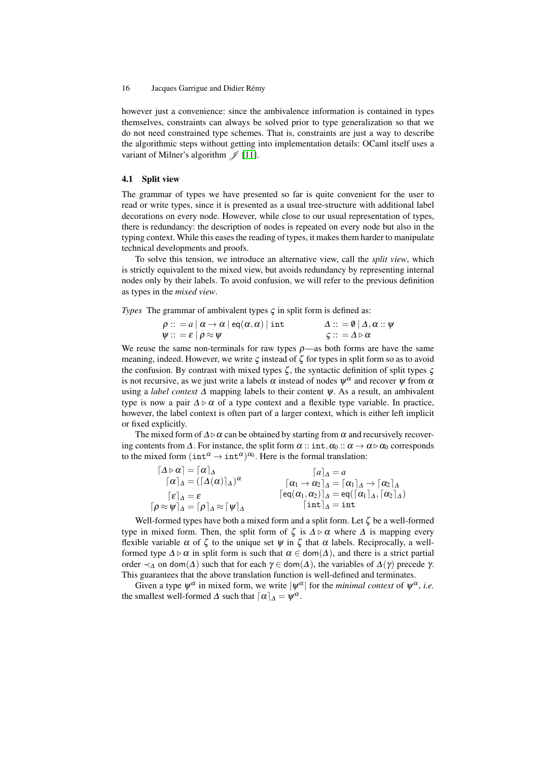however just a convenience: since the ambivalence information is contained in types themselves, constraints can always be solved prior to type generalization so that we do not need constrained type schemes. That is, constraints are just a way to describe the algorithmic steps without getting into implementation details: OCaml itself uses a variant of Milner's algorithm  $\mathscr{J}$  [11].

## 4.1 Split view

The grammar of types we have presented so far is quite convenient for the user to read or write types, since it is presented as a usual tree-structure with additional label decorations on every node. However, while close to our usual representation of types, there is redundancy: the description of nodes is repeated on every node but also in the typing context. While this eases the reading of types, it makes them harder to manipulate technical developments and proofs.

To solve this tension, we introduce an alternative view, call the *split view*, which is strictly equivalent to the mixed view, but avoids redundancy by representing internal nodes only by their labels. To avoid confusion, we will refer to the previous definition as types in the *mixed view*.

*Types* The grammar of ambivalent types  $\varsigma$  in split form is defined as:

$$
\rho :: = a | \alpha \rightarrow \alpha | eq(\alpha, \alpha) | int \qquad \Delta :: = \emptyset | \Delta, \alpha :: \psi
$$
  

$$
\psi :: = \varepsilon | \rho \approx \psi \qquad \zeta :: = \Delta \triangleright \alpha
$$

We reuse the same non-terminals for raw types  $\rho$ —as both forms are have the same meaning, indeed. However, we write  $\varsigma$  instead of  $\zeta$  for types in split form so as to avoid the confusion. By contrast with mixed types  $\zeta$ , the syntactic definition of split types  $\zeta$ is not recursive, as we just write a labels  $\alpha$  instead of nodes  $\psi^{\alpha}$  and recover  $\psi$  from  $\alpha$ using a *label context* ∆ mapping labels to their content ψ. As a result, an ambivalent type is now a pair  $\Delta \triangleright \alpha$  of a type context and a flexible type variable. In practice, however, the label context is often part of a larger context, which is either left implicit or fixed explicitly.

The mixed form of  $\Delta \triangleright \alpha$  can be obtained by starting from  $\alpha$  and recursively recovering contents from  $\Delta$ . For instance, the split form  $\alpha$  :: int,  $\alpha_0$  ::  $\alpha \to \alpha \triangleright \alpha_0$  corresponds to the mixed form  $(\text{int}^{\alpha} \rightarrow \text{int}^{\alpha})^{\alpha_0}$ . Here is the formal translation:

$$
\begin{aligned}\n[\Delta \triangleright \alpha] &= [\alpha]_{\Delta} & [a]_{\Delta} = a \\
[\alpha]_{\Delta} &= ([\Delta(\alpha)]_{\Delta})^{\alpha} & [\alpha_1 \rightarrow \alpha_2]_{\Delta} = [\alpha_1]_{\Delta} \rightarrow [\alpha_2]_{\Delta} \\
[\epsilon]_{\Delta} &= \epsilon & [\text{eq}(\alpha_1, \alpha_2)]_{\Delta} = \text{eq}([\alpha_1]_{\Delta}, [\alpha_2]_{\Delta}) \\
[\rho &\approx \psi]_{\Delta} &= [\rho]_{\Delta} \approx [\psi]_{\Delta} & [\text{int}]_{\Delta} = \text{int}\n\end{aligned}
$$

Well-formed types have both a mixed form and a split form. Let  $\zeta$  be a well-formed type in mixed form. Then, the split form of  $\zeta$  is  $\Delta \triangleright \alpha$  where  $\Delta$  is mapping every flexible variable  $\alpha$  of  $\zeta$  to the unique set  $\psi$  in  $\zeta$  that  $\alpha$  labels. Reciprocally, a wellformed type  $\Delta \triangleright \alpha$  in split form is such that  $\alpha \in \text{dom}(\Delta)$ , and there is a strict partial order  $\prec_\Lambda$  on dom( $\Delta$ ) such that for each  $\gamma \in$  dom( $\Delta$ ), the variables of  $\Delta(\gamma)$  precede γ. This guarantees that the above translation function is well-defined and terminates.

Given a type  $\psi^{\alpha}$  in mixed form, we write  $|\psi^{\alpha}|$  for the *minimal context* of  $\psi^{\alpha}$ , *i.e.* the smallest well-formed  $\Delta$  such that  $\lceil \alpha \rceil_{\Delta} = \psi^{\alpha}$ .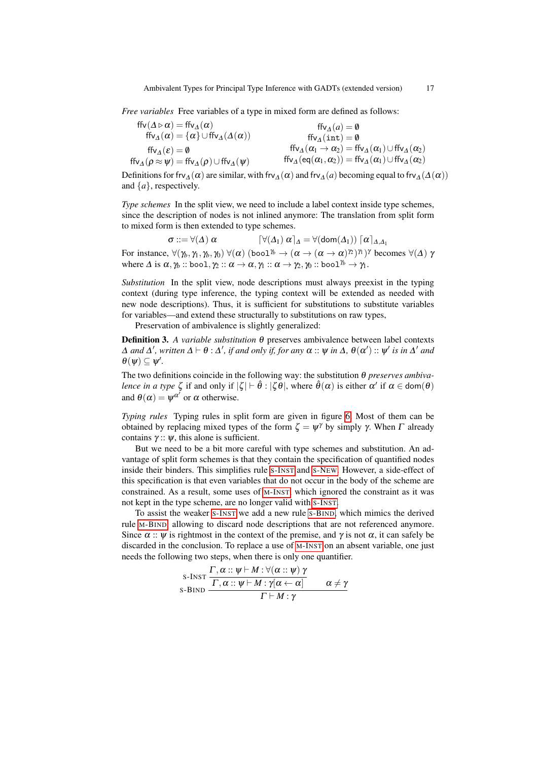*Free variables* Free variables of a type in mixed form are defined as follows:

| $\text{ffv}(\Delta \triangleright \alpha) = \text{ffv}_{\Delta}(\alpha)$                                                 | $ffv_A(a) = \emptyset$                                                                                                  |
|--------------------------------------------------------------------------------------------------------------------------|-------------------------------------------------------------------------------------------------------------------------|
| $\text{ffv}_{\Delta}(\alpha) = {\alpha} \cup \text{ffv}_{\Delta}(\Delta(\alpha))$                                        | $f(v_A(int)) = \emptyset$                                                                                               |
| $ffv_A(\varepsilon) = \emptyset$                                                                                         | $\text{ffv}_{\Delta}(\alpha_1 \rightarrow \alpha_2) = \text{ffv}_{\Delta}(\alpha_1) \cup \text{ffv}_{\Delta}(\alpha_2)$ |
| $\operatorname{ffv}_\Lambda(\rho \approx \psi) = \operatorname{ffv}_\Lambda(\rho) \cup \operatorname{ffv}_\Lambda(\psi)$ | $\text{ffv}_{\Delta}(\text{eq}(\alpha_1,\alpha_2)) = \text{ffv}_{\Delta}(\alpha_1) \cup \text{ffv}_{\Delta}(\alpha_2)$  |

Definitions for frv<sub>∆</sub>( $\alpha$ ) are similar, with frv<sub>∆</sub>( $\alpha$ ) and frv<sub>∆</sub>( $\alpha$ ) becoming equal to frv<sub>∆</sub>( $\Delta(\alpha)$ ) and {*a*}, respectively.

*Type schemes* In the split view, we need to include a label context inside type schemes, since the description of nodes is not inlined anymore: The translation from split form to mixed form is then extended to type schemes.

 $\sigma ::= \forall(\Delta) \alpha$   $[\forall(\Delta_1) \alpha]_A = \forall(\text{dom}(\Delta_1)) [\alpha]_{A,A_1}$ For instance,  $\forall (\gamma_1, \gamma_1, \gamma_2, \gamma_3)$   $\forall (\alpha)$  (bool<sup> $\gamma_1$ </sup>  $\rightarrow (\alpha \rightarrow (\alpha \rightarrow \alpha)^{\gamma_2})^{\gamma_1}$ )<sup>γ</sup> becomes  $\forall (\Delta)$  γ where  $\Delta$  is  $\alpha, \gamma_b$  :: bool,  $\gamma_2$  ::  $\alpha \to \alpha, \gamma_1$  ::  $\alpha \to \gamma_2, \gamma_0$  :: bool $\gamma_b \to \gamma_1$ .

*Substitution* In the split view, node descriptions must always preexist in the typing context (during type inference, the typing context will be extended as needed with new node descriptions). Thus, it is sufficient for substitutions to substitute variables for variables—and extend these structurally to substitutions on raw types,

Preservation of ambivalence is slightly generalized:

Definition 3. *A variable substitution* θ preserves ambivalence between label contexts  $\Delta$  and  $\Delta'$ , written  $\Delta \vdash \theta : \Delta'$ , if and only if, for any  $\alpha :: \psi$  in  $\Delta$ ,  $\theta(\alpha') :: \psi'$  is in  $\Delta'$  and  $\theta(\psi) \subseteq \psi'.$ 

The two definitions coincide in the following way: the substitution θ *preserves ambivalence in a type*  $\zeta$  if and only if  $|\zeta| \vdash \hat{\theta} : |\zeta \theta|$ , where  $\hat{\theta}(\alpha)$  is either  $\alpha'$  if  $\alpha \in \text{dom}(\theta)$ and  $\theta(\alpha) = \psi^{\alpha'}$  or  $\alpha$  otherwise.

*Typing rules* Typing rules in split form are given in figure 6. Most of them can be obtained by replacing mixed types of the form  $\zeta = \psi^{\gamma}$  by simply  $\gamma$ . When  $\Gamma$  already contains  $\gamma$  ::  $\psi$ , this alone is sufficient.

But we need to be a bit more careful with type schemes and substitution. An advantage of split form schemes is that they contain the specification of quantified nodes inside their binders. This simplifies rule S-INST and S-NEW. However, a side-effect of this specification is that even variables that do not occur in the body of the scheme are constrained. As a result, some uses of M-INST, which ignored the constraint as it was not kept in the type scheme, are no longer valid with S-INST.

To assist the weaker S-INST we add a new rule S-BIND, which mimics the derived rule M-BIND, allowing to discard node descriptions that are not referenced anymore. Since  $\alpha$  ::  $\psi$  is rightmost in the context of the premise, and  $\gamma$  is not  $\alpha$ , it can safely be discarded in the conclusion. To replace a use of M-INST on an absent variable, one just needs the following two steps, when there is only one quantifier.

$$
\text{s-Inst}\ \frac{\Gamma,\alpha::\psi\vdash M:\forall(\alpha::\psi)\gamma}{\Gamma,\alpha::\psi\vdash M:\gamma[\alpha\leftarrow\alpha]}\n\qquad\n\alpha\neq\gamma
$$
\n
$$
\Gamma\vdash M:\gamma
$$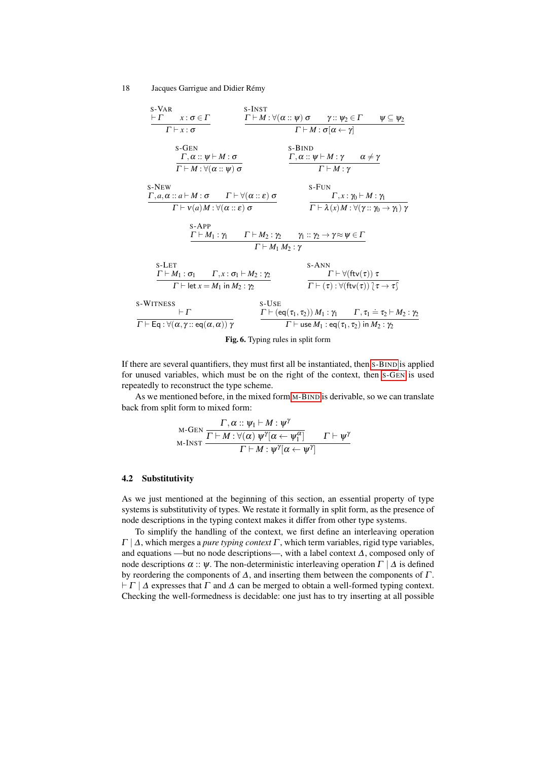| S-VAR                                                                                             | S-INST                                                                                                                                    |                                                                                           |                                                |                         |
|---------------------------------------------------------------------------------------------------|-------------------------------------------------------------------------------------------------------------------------------------------|-------------------------------------------------------------------------------------------|------------------------------------------------|-------------------------|
| $\vdash \Gamma \quad x : \sigma \in \Gamma$                                                       | $\Gamma \vdash M : \forall (\alpha :: \psi) \; \sigma \qquad \gamma :: \psi_2 \in \Gamma$                                                 |                                                                                           |                                                | $\psi \subseteq \psi_2$ |
| $\Gamma \vdash x : \sigma$                                                                        |                                                                                                                                           | $\Gamma \vdash M : \sigma[\alpha \leftarrow \gamma]$                                      |                                                |                         |
| $S-GEN$                                                                                           | $S-BIND$                                                                                                                                  |                                                                                           |                                                |                         |
| $\Gamma, \alpha :: \psi \vdash M : \sigma$                                                        |                                                                                                                                           | $\Gamma, \alpha :: \psi \vdash M : \gamma \qquad \alpha \neq \gamma$                      |                                                |                         |
| $\Gamma \vdash M : \forall (\alpha :: \psi) \sigma$                                               |                                                                                                                                           | $\Gamma \vdash M : \gamma$                                                                |                                                |                         |
| <b>S-NEW</b>                                                                                      |                                                                                                                                           | <b>S-FUN</b>                                                                              |                                                |                         |
| $\Gamma, a, \alpha :: a \vdash M : \sigma$ $\Gamma \vdash \forall (\alpha :: \varepsilon) \sigma$ |                                                                                                                                           |                                                                                           | $\Gamma, x : \gamma_0 \vdash M : \gamma_1$     |                         |
| $\Gamma\vdash v(a)M:\forall(\alpha::\varepsilon)\sigma$                                           |                                                                                                                                           | $\Gamma \vdash \lambda(x)M : \forall (\gamma :: \gamma_0 \rightarrow \gamma_1) \gamma$    |                                                |                         |
| $S-APP$                                                                                           | $\Gamma \vdash M_1 : \gamma_1 \qquad \Gamma \vdash M_2 : \gamma_2 \qquad \gamma_1 :: \gamma_2 \rightarrow \gamma \approx \psi \in \Gamma$ |                                                                                           |                                                |                         |
|                                                                                                   | $\Gamma \vdash M_1 M_2 : \gamma$                                                                                                          |                                                                                           |                                                |                         |
| S-LET                                                                                             |                                                                                                                                           | $S-ANN$                                                                                   |                                                |                         |
| $\Gamma \vdash M_1 : \sigma_1 \qquad \Gamma, x : \sigma_1 \vdash M_2 : \gamma_2$                  |                                                                                                                                           |                                                                                           | $\Gamma \vdash \forall$ (ftv $(\tau)$ ) $\tau$ |                         |
| $\Gamma \vdash \text{let } x = M_1$ in $M_2 : \gamma_2$                                           |                                                                                                                                           | $\Gamma \vdash (\tau) : \forall (\text{ftv}(\tau)) \upharpoonright \tau \rightarrow \tau$ |                                                |                         |
| s-Witness                                                                                         | S-USE                                                                                                                                     |                                                                                           |                                                |                         |
| $\vdash \Gamma$                                                                                   | $\Gamma \vdash (\textsf{eq}(\tau_1,\tau_2)) M_1 : \gamma_1 \qquad \Gamma, \tau_1 \doteq \tau_2 \vdash M_2 : \gamma_2$                     |                                                                                           |                                                |                         |
| $\Gamma \vdash \mathsf{Eq} : \forall (\alpha, \gamma :: \mathsf{eq}(\alpha, \alpha)) \gamma$      |                                                                                                                                           | $\Gamma \vdash$ use $M_1$ : eq $(\tau_1, \tau_2)$ in $M_2$ : $\gamma_2$                   |                                                |                         |
|                                                                                                   | <b>Fig. 6.</b> Typing rules in split form                                                                                                 |                                                                                           |                                                |                         |

If there are several quantifiers, they must first all be instantiated, then S-BIND is applied for unused variables, which must be on the right of the context, then S-GEN is used repeatedly to reconstruct the type scheme.

As we mentioned before, in the mixed form M-BIND is derivable, so we can translate back from split form to mixed form:

$$
\frac{\Gamma, \alpha::\psi_1 \vdash M : \psi^{\gamma}}{\Gamma \vdash M : \forall(\alpha) \ \psi^{\gamma}[\alpha \leftarrow \psi_1^{\alpha}] \qquad \Gamma \vdash \psi^{\gamma}}}{\Gamma \vdash M : \psi^{\gamma}[\alpha \leftarrow \psi^{\gamma}]}
$$

## 4.2 Substitutivity

As we just mentioned at the beginning of this section, an essential property of type systems is substitutivity of types. We restate it formally in split form, as the presence of node descriptions in the typing context makes it differ from other type systems.

To simplify the handling of the context, we first define an interleaving operation  $Γ | Δ$ , which merges a *pure typing context* Γ, which term variables, rigid type variables, and equations —but no node descriptions—, with a label context ∆, composed only of node descriptions  $\alpha$  ::  $\psi$ . The non-deterministic interleaving operation  $\Gamma | \Delta$  is defined by reordering the components of  $\Delta$ , and inserting them between the components of  $\Gamma$ .  $\vdash \Gamma \mid \Delta$  expresses that  $\Gamma$  and  $\Delta$  can be merged to obtain a well-formed typing context. Checking the well-formedness is decidable: one just has to try inserting at all possible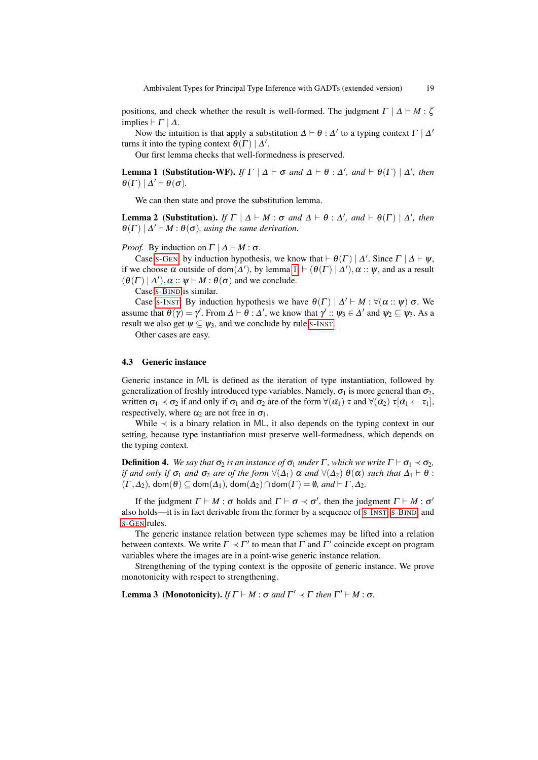positions, and check whether the result is well-formed. The judgment  $\Gamma \mid \Delta \vdash M : \zeta$ implies  $\vdash \Gamma \mid \Delta$ .

Now the intuition is that apply a substitution  $\Delta \vdash \theta : \Delta'$  to a typing context  $\Gamma \mid \Delta'$ turns it into the typing context  $\theta(\Gamma) | \Delta'$ .

Our first lemma checks that well-formedness is preserved.

**Lemma 1** (Substitution-WF). *If*  $\Gamma \mid \Delta \vdash \sigma$  *and*  $\Delta \vdash \theta : \Delta'$ *, and*  $\vdash \theta(\Gamma) \mid \Delta'$ *, then*  $\theta(\Gamma) | \Delta' \vdash \theta(\sigma)$ .

We can then state and prove the substitution lemma.

**Lemma 2** (Substitution). *If*  $\Gamma \mid \Delta \vdash M : \sigma$  *and*  $\Delta \vdash \theta : \Delta'$ *, and*  $\vdash \theta(\Gamma) \mid \Delta'$ *, then*  $\theta(\Gamma) | \Delta' \vdash M : \theta(\sigma)$ , using the same derivation.

*Proof.* By induction on  $\Gamma \mid \Delta \vdash M : \sigma$ .

Case s-GEN: by induction hypothesis, we know that  $\vdash \theta(\Gamma) | \Delta'$ . Since  $\Gamma | \Delta \vdash \psi$ , if we choose  $\alpha$  outside of dom $(\Delta')$ , by lemma  $1, \vdash (\theta(\Gamma) | \Delta')$ ,  $\alpha :: \psi$ , and as a result  $(\theta(\Gamma) | \Delta'), \alpha :: \psi \vdash M : \theta(\sigma)$  and we conclude.

Case S-BIND is similar.

Case s-Inst: By induction hypothesis we have  $\theta(\Gamma) | \Delta' \vdash M : \forall (\alpha : \psi) \sigma$ . We assume that  $\theta(\gamma) = \gamma'$ . From  $\Delta \vdash \theta : \Delta'$ , we know that  $\gamma' :: \psi_3 \in \Delta'$  and  $\psi_2 \subseteq \psi_3$ . As a result we also get  $\psi \subseteq \psi_3$ , and we conclude by rule s-INST.

Other cases are easy.

## 4.3 Generic instance

Generic instance in ML is defined as the iteration of type instantiation, followed by generalization of freshly introduced type variables. Namely,  $\sigma_1$  is more general than  $\sigma_2$ , written  $\sigma_1 \prec \sigma_2$  if and only if  $\sigma_1$  and  $\sigma_2$  are of the form  $\forall (\bar{\alpha_1}) \tau$  and  $\forall (\bar{\alpha_2}) \tau [\bar{\alpha_1} \leftarrow \tau_1]$ , respectively, where  $\alpha_2$  are not free in  $\sigma_1$ .

While  $\prec$  is a binary relation in ML, it also depends on the typing context in our setting, because type instantiation must preserve well-formedness, which depends on the typing context.

**Definition 4.** *We say that*  $\sigma_2$  *is an instance of*  $\sigma_1$  *under*  $\Gamma$ *, which we write*  $\Gamma \vdash \sigma_1 \prec \sigma_2$ *, if and only if*  $\sigma_1$  *and*  $\sigma_2$  *are of the form*  $\forall (\Delta_1)$   $\alpha$  *and*  $\forall (\Delta_2)$   $\theta(\alpha)$  *such that*  $\Delta_1 \vdash \theta$ :  $(\Gamma, \Delta_2)$ , dom $(\theta) \subseteq$  dom $(\Delta_1)$ , dom $(\Delta_2) \cap$  dom $(\Gamma) = \emptyset$ , and  $\vdash \Gamma, \Delta_2$ .

If the judgment  $\Gamma \vdash M : \sigma$  holds and  $\Gamma \vdash \sigma \prec \sigma'$ , then the judgment  $\Gamma \vdash M : \sigma'$ also holds—it is in fact derivable from the former by a sequence of S-INST, S-BIND, and S-GEN rules.

The generic instance relation between type schemes may be lifted into a relation between contexts. We write  $\Gamma \prec \Gamma'$  to mean that  $\Gamma$  and  $\Gamma'$  coincide except on program variables where the images are in a point-wise generic instance relation.

Strengthening of the typing context is the opposite of generic instance. We prove monotonicity with respect to strengthening.

**Lemma 3** (Monotonicity). *If*  $\Gamma \vdash M : \sigma$  *and*  $\Gamma' \prec \Gamma$  *then*  $\Gamma' \vdash M : \sigma$ .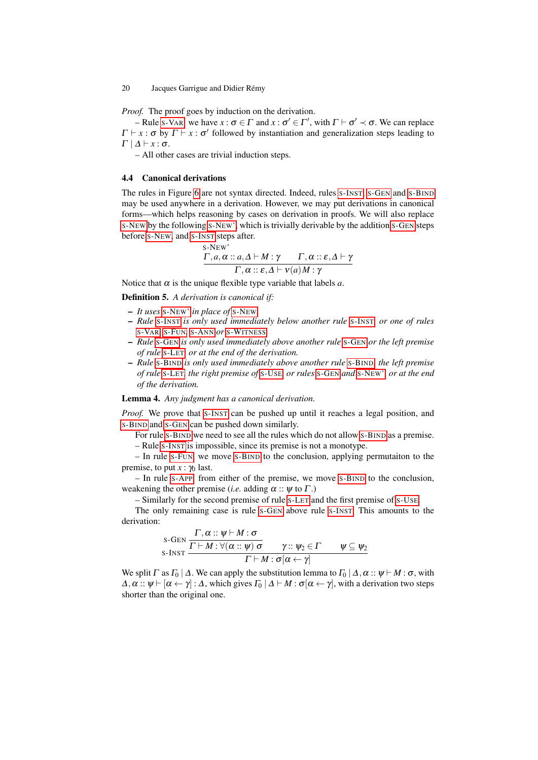*Proof.* The proof goes by induction on the derivation.

– Rule s-Var: we have  $x : \sigma \in \Gamma$  and  $x : \sigma' \in \Gamma'$ , with  $\Gamma \vdash \sigma' \prec \sigma$ . We can replace  $\Gamma \vdash x : \sigma$  by  $\Gamma \vdash x : \sigma'$  followed by instantiation and generalization steps leading to  $\Gamma \mid \Delta \vdash x : \sigma$ .

– All other cases are trivial induction steps.

#### 4.4 Canonical derivations

The rules in Figure 6 are not syntax directed. Indeed, rules S-INST, S-GEN and S-BIND may be used anywhere in a derivation. However, we may put derivations in canonical forms—which helps reasoning by cases on derivation in proofs. We will also replace S-NEW by the following S-NEW', which is trivially derivable by the addition S-GEN steps before S-NEW, and S-INST steps after.

$$
S\text{-}\text{NEW'}
$$

$$
\frac{\Gamma, a, \alpha :: a, \Delta \vdash M : \gamma \qquad \Gamma, \alpha :: \varepsilon, \Delta \vdash \gamma}{\Gamma, \alpha :: \varepsilon, \Delta \vdash v(a)M : \gamma}
$$

Notice that  $\alpha$  is the unique flexible type variable that labels  $a$ .

Definition 5. *A derivation is canonical if:*

- *It uses* S-NEW' *in place of* S-NEW*.*
- *Rule* S-INST *is only used immediately below another rule* S-INST*, or one of rules* S-VAR*,* S-FUN*,* S-ANN *or* S-WITNESS*.*
- *Rule* S-GEN *is only used immediately above another rule* S-GEN *or the left premise of rule* S-LET*, or at the end of the derivation.*
- *Rule* S-BIND *is only used immediately above another rule* S-BIND*, the left premise of rule* S-LET*, the right premise of* S-USE*, or rules* S-GEN *and* S-NEW'*, or at the end of the derivation.*

#### Lemma 4. *Any judgment has a canonical derivation.*

*Proof.* We prove that s-INST can be pushed up until it reaches a legal position, and S-BIND and S-GEN can be pushed down similarly.

- For rule S-BIND we need to see all the rules which do not allow S-BIND as a premise.
- Rule S-INST is impossible, since its premise is not a monotype.

– In rule S-FUN, we move S-BIND to the conclusion, applying permutaiton to the premise, to put  $x : \gamma_0$  last.

– In rule S-APP, from either of the premise, we move S-BIND to the conclusion, weakening the other premise (*i.e.* adding  $\alpha$  ::  $\psi$  to  $\Gamma$ .)

– Similarly for the second premise of rule S-LET and the first premise of S-USE.

The only remaining case is rule S-GEN above rule S-INST. This amounts to the derivation:

$$
\text{s-Gen} \ \frac{\Gamma, \alpha::\psi \vdash M: \sigma}{\Gamma \vdash M: \forall (\alpha::\psi) \sigma} \qquad \gamma::\psi_2 \in \Gamma \qquad \psi \subseteq \psi_2
$$
\n
$$
\Gamma \vdash M: \sigma[\alpha \leftarrow \gamma]
$$

We split  $\Gamma$  as  $\Gamma_0 | \Delta$ . We can apply the substitution lemma to  $\Gamma_0 | \Delta, \alpha : \psi \vdash M : \sigma$ , with  $\Delta, \alpha :: \psi \vdash [\alpha \leftarrow \gamma] : \Delta$ , which gives  $\Gamma_0 \mid \Delta \vdash M : \sigma[\alpha \leftarrow \gamma]$ , with a derivation two steps shorter than the original one.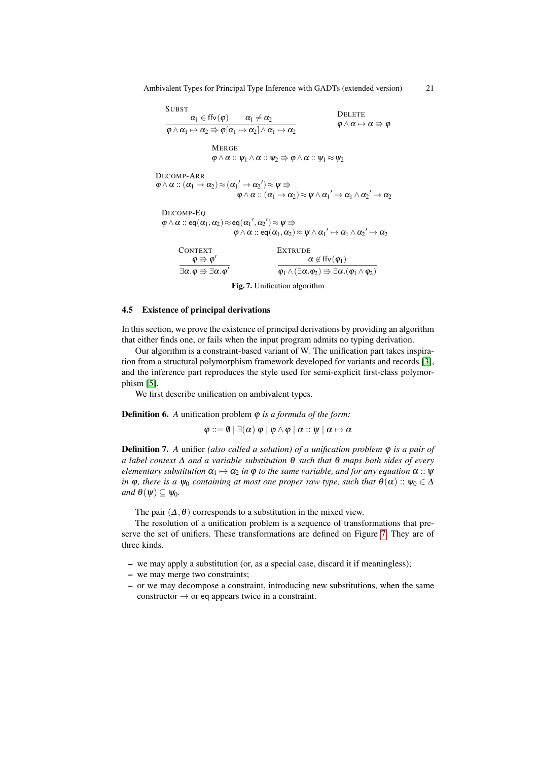Ambivalent Types for Principal Type Inference with GADTs (extended version) 21

**SUBST**  $\alpha_1 \in \text{ffv}(\varphi) \qquad \alpha_1 \neq \alpha_2$  $\overline{\varphi\wedge\alpha_1\mapsto\alpha_2}\Rrightarrow \varphi[\alpha_1\mapsto\alpha_2]\wedge\alpha_1\mapsto\alpha_2$ DELETE  $\varphi \wedge \alpha \mapsto \alpha \Rrightarrow \varphi$ MERGE  $\varphi \wedge \alpha :: \psi_1 \wedge \alpha :: \psi_2 \Rightarrow \varphi \wedge \alpha :: \psi_1 \approx \psi_2$ DECOMP-ARR  $\varphi \wedge \alpha :: (\alpha_1 \rightarrow \alpha_2) \! \approx \! (\alpha_1{'} \rightarrow \alpha_2{'}) \! \approx \! \psi \Rrightarrow$  $\varphi \wedge \alpha :: (\alpha_1 \rightarrow \alpha_2) \approx \psi \wedge {\alpha_1}' \mapsto \alpha_1 \wedge {\alpha_2}' \mapsto \alpha_2$ DECOMP-EQ  $\pmb{\varphi} \land \pmb{\alpha} :: \mathsf{eq}(\pmb{\alpha}_1, \pmb{\alpha}_2) \!\approx\! \mathsf{eq}(\pmb{\alpha_1}', \pmb{\alpha_2}') \!\approx\! \pmb{\psi} \, \Rightarrow$  $\overline{\varphi \wedge \alpha} :: \operatorname{\sf eq}(\alpha_1,\alpha_2) \approx \overline{\psi \wedge \alpha_1}' \mapsto \alpha_1 \wedge \alpha_2' \mapsto \alpha_2$ CONTEXT  $\varphi \Rrightarrow \varphi'$  $\overline{\exists \alpha. \varphi \Rrightarrow \exists \alpha. \varphi'}$ EXTRUDE  $\alpha \not\in \mathsf{ffv}(\phi_1)$  $\overline{\varphi_1 \wedge (\exists \alpha.\varphi_2) \Rightarrow \exists \alpha.(\varphi_1 \wedge \varphi_2)}$ 

Fig. 7. Unification algorithm

## 4.5 Existence of principal derivations

In this section, we prove the existence of principal derivations by providing an algorithm that either finds one, or fails when the input program admits no typing derivation.

Our algorithm is a constraint-based variant of W. The unification part takes inspiration from a structural polymorphism framework developed for variants and records [3], and the inference part reproduces the style used for semi-explicit first-class polymorphism [5].

We first describe unification on ambivalent types.

**Definition 6.** *A* unification problem  $\varphi$  *is a formula of the form:* 

$$
\varphi ::= \emptyset \mid \exists(\alpha) \varphi \mid \varphi \wedge \varphi \mid \alpha :: \psi \mid \alpha \mapsto \alpha
$$

**Definition 7.** A unifier *(also called a solution) of a unification problem*  $\varphi$  *is a pair of a label context* ∆ *and a variable substitution* θ *such that* θ *maps both sides of every elementary substitution*  $\alpha_1 \mapsto \alpha_2$  *in*  $\varphi$  *to the same variable, and for any equation*  $\alpha$  ::  $\psi$ *in*  $\varphi$ *, there is a*  $\psi_0$  *containing at most one proper raw type, such that*  $\theta(\alpha)$  ::  $\psi_0 \in \Delta$ *and*  $\theta(\psi) \subseteq \psi_0$ *.* 

The pair  $(\Delta, \theta)$  corresponds to a substitution in the mixed view.

The resolution of a unification problem is a sequence of transformations that preserve the set of unifiers. These transformations are defined on Figure 7. They are of three kinds.

- we may apply a substitution (or, as a special case, discard it if meaningless);
- we may merge two constraints;
- or we may decompose a constraint, introducing new substitutions, when the same constructor  $\rightarrow$  or eq appears twice in a constraint.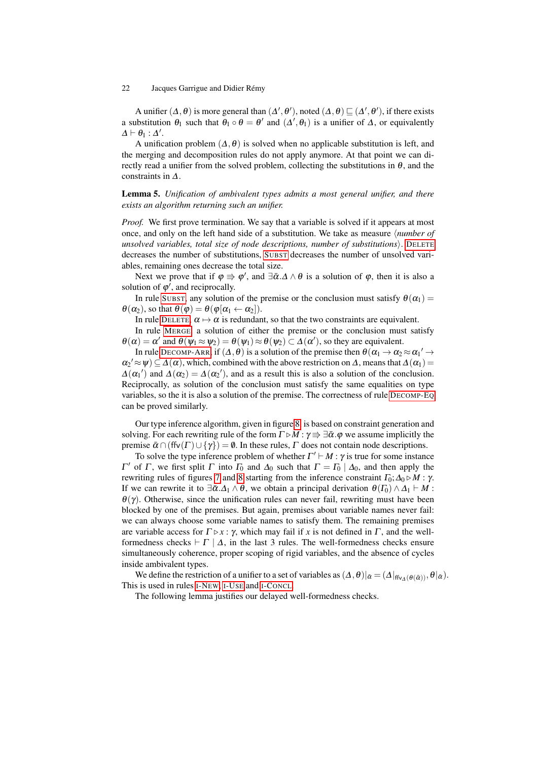A unifier  $(\Delta, \theta)$  is more general than  $(\Delta', \theta')$ , noted  $(\Delta, \theta) \sqsubseteq (\Delta', \theta')$ , if there exists a substitution  $\theta_1$  such that  $\theta_1 \circ \theta = \theta'$  and  $(\Delta', \theta_1)$  is a unifier of  $\Delta$ , or equivalently  $\Delta \vdash \theta_1 : \Delta'.$ 

A unification problem  $(\Delta, \theta)$  is solved when no applicable substitution is left, and the merging and decomposition rules do not apply anymore. At that point we can directly read a unifier from the solved problem, collecting the substitutions in  $\theta$ , and the constraints in ∆.

Lemma 5. *Unification of ambivalent types admits a most general unifier, and there exists an algorithm returning such an unifier.*

*Proof.* We first prove termination. We say that a variable is solved if it appears at most once, and only on the left hand side of a substitution. We take as measure *<i>humber of unsolved variables, total size of node descriptions, number of substitutions*). DELETE decreases the number of substitutions, SUBST decreases the number of unsolved variables, remaining ones decrease the total size.

Next we prove that if  $\varphi \Rightarrow \varphi'$ , and  $\exists \bar{\alpha} \Delta \wedge \theta$  is a solution of  $\varphi$ , then it is also a solution of  $\varphi'$ , and reciprocally.

In rule SUBST, any solution of the premise or the conclusion must satisfy  $\theta(\alpha_1)$  =  $\theta(\alpha_2)$ , so that  $\theta(\varphi) = \theta(\varphi[\alpha_1 \leftarrow \alpha_2]).$ 

In rule DELETE,  $\alpha \mapsto \alpha$  is redundant, so that the two constraints are equivalent.

In rule MERGE, a solution of either the premise or the conclusion must satisfy  $\theta(\alpha) = \alpha'$  and  $\theta(\psi_1 \approx \psi_2) = \theta(\psi_1) \approx \theta(\psi_2) \subset \Delta(\alpha')$ , so they are equivalent.

In rule DECOMP-ARR, if  $(\Delta, \theta)$  is a solution of the premise then  $\theta(\alpha_1 \to \alpha_2 \approx \alpha_1' \to \theta_1')$  $\alpha_2' \approx \psi$ )  $\subseteq \Delta(\alpha)$ , which, combined with the above restriction on  $\Delta$ , means that  $\Delta(\alpha_1)$  =  $\Delta(\alpha_1)$  and  $\Delta(\alpha_2) = \Delta(\alpha_2)$ , and as a result this is also a solution of the conclusion. Reciprocally, as solution of the conclusion must satisfy the same equalities on type variables, so the it is also a solution of the premise. The correctness of rule DECOMP-EQ can be proved similarly.

Our type inference algorithm, given in figure 8, is based on constraint generation and solving. For each rewriting rule of the form  $\Gamma \triangleright M$  :  $\gamma \Rightarrow \exists \bar{\alpha} \cdot \varphi$  we assume implicitly the premise  $\bar{\alpha} \cap (\text{ffv}(\Gamma) \cup \{\gamma\}) = \emptyset$ . In these rules,  $\Gamma$  does not contain node descriptions.

To solve the type inference problem of whether  $\Gamma' \vdash M : \gamma$  is true for some instance  $\Gamma'$  of Γ, we first split Γ into  $\Gamma_0$  and  $\Delta_0$  such that  $\Gamma = \Gamma_0 \mid \Delta_0$ , and then apply the rewriting rules of figures 7 and 8 starting from the inference constraint  $\Gamma_0$ ;  $\Delta_0 \triangleright M$  : γ. If we can rewrite it to  $\exists \bar{\alpha}.\Delta_1 \wedge \theta$ , we obtain a principal derivation  $\theta(\Gamma_0) \wedge \Delta_1 \vdash M$ :  $\theta(\gamma)$ . Otherwise, since the unification rules can never fail, rewriting must have been blocked by one of the premises. But again, premises about variable names never fail: we can always choose some variable names to satisfy them. The remaining premises are variable access for  $\Gamma \triangleright x : \gamma$ , which may fail if x is not defined in  $\Gamma$ , and the wellformedness checks  $\vdash \Gamma \mid \Delta$ , in the last 3 rules. The well-formedness checks ensure simultaneously coherence, proper scoping of rigid variables, and the absence of cycles inside ambivalent types.

We define the restriction of a unifier to a set of variables as  $(\Delta, \theta)|_{\bar{\alpha}} = (\Delta|_{\text{ffv}_\Delta(\theta(\bar{\alpha}))}, \theta|_{\bar{\alpha}})$ . This is used in rules I-NEW, I-USE and I-CONCL.

The following lemma justifies our delayed well-formedness checks.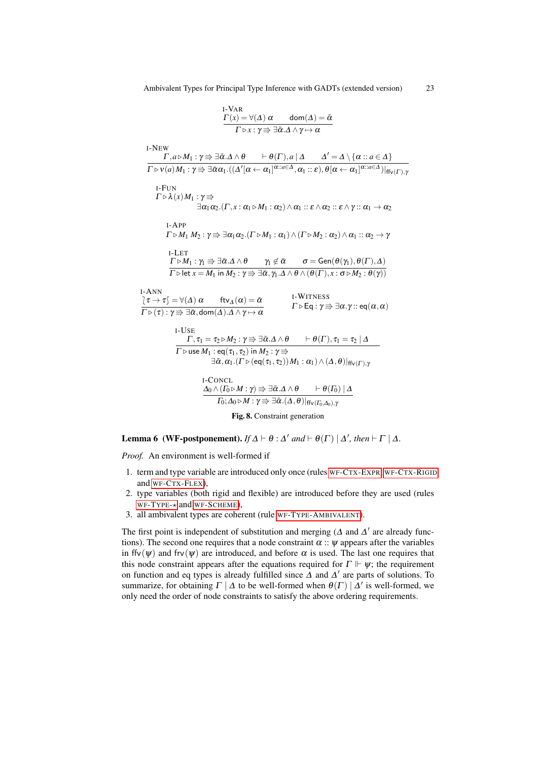| I-VAR                                                                                                                                                                                                                                                                              |
|------------------------------------------------------------------------------------------------------------------------------------------------------------------------------------------------------------------------------------------------------------------------------------|
| $\varGamma(x) = \forall(\varDelta) \ \alpha \qquad \mathsf{dom}(\varDelta) = \bar{\alpha}$                                                                                                                                                                                         |
| $\Gamma \triangleright x : \gamma \Rightarrow \exists \bar{\alpha} . \Delta \wedge \gamma \mapsto \alpha$                                                                                                                                                                          |
| I-NEW                                                                                                                                                                                                                                                                              |
| $\Gamma, a \triangleright M_1 : \gamma \Rightarrow \exists \bar{\alpha}.\Delta \wedge \theta \qquad \vdash \theta(\Gamma), a \mid \Delta \qquad \Delta' = \Delta \setminus \{\alpha : a \in \Delta\}$                                                                              |
| $\overline{\Gamma \triangleright \nu(a)M_1 : \gamma \Rightarrow \exists \bar{\alpha} \alpha_1 . ((\Delta'[\alpha \leftarrow \alpha_1]^{\alpha::a \in \Delta}, \alpha_1 :: \varepsilon), \theta[\alpha \leftarrow \alpha_1]^{\alpha::a \in \Delta}) _{\text{ffv}(\Gamma), \gamma}}$ |
| I-FUN<br>$\Gamma \triangleright \lambda(x) M_1 : \gamma \Rightarrow$                                                                                                                                                                                                               |
| $\exists \alpha_1 \alpha_2 \ldotp (\Gamma, x : \alpha_1 \triangleright M_1 : \alpha_2) \wedge \alpha_1 :: \varepsilon \wedge \alpha_2 :: \varepsilon \wedge \gamma :: \alpha_1 \rightarrow \alpha_2$                                                                               |
| $I-APP$                                                                                                                                                                                                                                                                            |
| $\Gamma \triangleright M_1 M_2 : \gamma \Rightarrow \exists \alpha_1 \alpha_2 . (\Gamma \triangleright M_1 : \alpha_1) \wedge (\Gamma \triangleright M_2 : \alpha_2) \wedge \alpha_1 :: \alpha_2 \rightarrow \gamma$                                                               |
| I-LET                                                                                                                                                                                                                                                                              |
| $\Gamma \triangleright M_1 : \gamma_1 \Rrightarrow \exists \bar{\alpha}.\Delta \wedge \theta$ $\gamma_1 \notin \bar{\alpha}$ $\sigma = \text{Gen}(\theta(\gamma_1), \theta(\Gamma), \Delta)$                                                                                       |
| $\Gamma \triangleright$ let $x = M_1$ in $M_2 : \gamma \rightrightarrows \exists \bar{\alpha}, \gamma_1 \ldots \land \theta \land (\theta(\Gamma), x : \sigma \triangleright M_2 : \theta(\gamma))$                                                                                |
| I-ANN<br>I-WITNESS<br>$\partial \tau \to \tau \Gamma = \forall(\Delta) \alpha$ fiv $_{\Lambda}(\alpha) = \bar{\alpha}$                                                                                                                                                             |
| $\Gamma \triangleright \mathsf{Eq} : \gamma \Rightarrow \exists \alpha . \gamma :: \mathsf{eq}(\alpha, \alpha)$<br>$\Gamma \triangleright (\tau) : \gamma \Rightarrow \exists \bar{\alpha}, \text{dom}(\Delta) . \Delta \wedge \gamma \mapsto \alpha$                              |
| I-USE                                                                                                                                                                                                                                                                              |
| $\Gamma, \tau_1 = \tau_2 \triangleright M_2 : \gamma \Rightarrow \exists \bar{\alpha}.\Delta \wedge \theta \qquad \vdash \theta(\Gamma), \tau_1 = \tau_2 \mid \Delta$                                                                                                              |
| $\Gamma \triangleright$ use $M_1$ : eq $(\tau_1, \tau_2)$ in $M_2$ : $\gamma \Rightarrow$                                                                                                                                                                                          |
| $\exists \bar{\alpha}, \alpha_1.(\Gamma \triangleright (\textsf{eq}(\tau_1, \tau_2)) M_1 : \alpha_1) \wedge (\Delta, \theta) _{\textsf{ffv}(\Gamma), \gamma}$                                                                                                                      |
| I-CONCL                                                                                                                                                                                                                                                                            |
| $\Delta_0 \wedge (\Gamma_0 \triangleright M : \gamma) \Rightarrow \exists \bar{\alpha} . \Delta \wedge \theta \qquad \vdash \theta(\Gamma_0) \mid \Delta$                                                                                                                          |
|                                                                                                                                                                                                                                                                                    |
| Fig. 8. Constraint generation                                                                                                                                                                                                                                                      |

**Lemma 6** (WF-postponement). *If*  $\Delta \vdash \theta : \Delta'$  *and*  $\vdash \theta(\Gamma) | \Delta'$ *, then*  $\vdash \Gamma | \Delta$ *.* 

*Proof.* An environment is well-formed if

- 1. term and type variable are introduced only once (rules WF-CTX-EXPR, WF-CTX-RIGID and WF-CTX-FLEX),
- 2. type variables (both rigid and flexible) are introduced before they are used (rules WF-TYPE-\* and WF-SCHEME),
- 3. all ambivalent types are coherent (rule WF-TYPE-AMBIVALENT).

The first point is independent of substitution and merging ( $\Delta$  and  $\Delta'$  are already functions). The second one requires that a node constraint  $\alpha$  ::  $\psi$  appears after the variables in ffv( $\psi$ ) and frv( $\psi$ ) are introduced, and before  $\alpha$  is used. The last one requires that this node constraint appears after the equations required for  $\Gamma \Vdash \psi$ ; the requirement on function and eq types is already fulfilled since  $\Delta$  and  $\Delta'$  are parts of solutions. To summarize, for obtaining  $\Gamma | \Delta$  to be well-formed when  $\theta(\Gamma) | \Delta'$  is well-formed, we only need the order of node constraints to satisfy the above ordering requirements.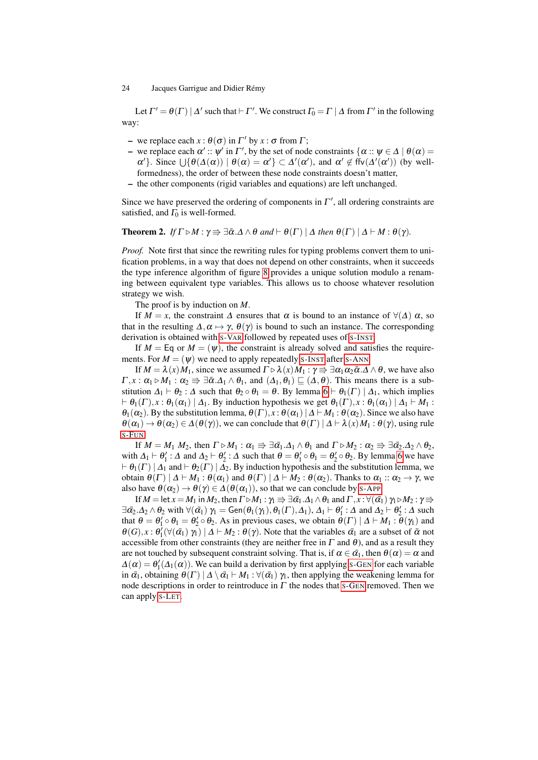Let  $\Gamma' = \theta(\Gamma) | \Delta'$  such that  $\vdash \Gamma'$ . We construct  $\Gamma_0 = \Gamma | \Delta$  from  $\Gamma'$  in the following way:

- we replace each  $x : θ(σ)$  in  $Γ'$  by  $x : σ$  from  $Γ$ ;
- we replace each  $\alpha' :: \psi'$  in  $\Gamma'$ , by the set of node constraints  $\{\alpha :: \psi \in \Delta \mid \theta(\alpha) = \emptyset\}$  $\alpha'$ }. Since  $\bigcup \{ \theta(\Delta(\alpha)) \mid \theta(\alpha) = \alpha' \} \subset \Delta'(\alpha')$ , and  $\alpha' \notin \text{ffv}(\Delta'(\alpha'))$  (by wellformedness), the order of between these node constraints doesn't matter,
- the other components (rigid variables and equations) are left unchanged.

Since we have preserved the ordering of components in  $\Gamma'$ , all ordering constraints are satisfied, and  $\Gamma_0$  is well-formed.

**Theorem 2.** *If*  $\Gamma \triangleright M : \gamma \rightrightarrows \exists \bar{\alpha} \cdot \Delta \land \theta$  *and*  $\vdash \theta(\Gamma) | \Delta$  *then*  $\theta(\Gamma) | \Delta \vdash M : \theta(\gamma)$ *.* 

*Proof.* Note first that since the rewriting rules for typing problems convert them to unification problems, in a way that does not depend on other constraints, when it succeeds the type inference algorithm of figure 8 provides a unique solution modulo a renaming between equivalent type variables. This allows us to choose whatever resolution strategy we wish.

The proof is by induction on *M*.

If  $M = x$ , the constraint  $\Delta$  ensures that  $\alpha$  is bound to an instance of  $\forall (\Delta) \alpha$ , so that in the resulting  $\Delta, \alpha \mapsto \gamma$ ,  $\theta(\gamma)$  is bound to such an instance. The corresponding derivation is obtained with S-VAR followed by repeated uses of S-INST.

If  $M = Eq$  or  $M = (\psi)$ , the constraint is already solved and satisfies the requirements. For  $M = (\psi)$  we need to apply repeatedly s-INST after s-ANN.

If  $M = \lambda(x)M_1$ , since we assumed  $\Gamma \triangleright \lambda(x)M_1 : \gamma \rightrightarrows \exists \alpha_1 \alpha_2 \bar{\alpha} \cdot \Delta \wedge \theta$ , we have also  $\Gamma, x : \alpha_1 \triangleright M_1 : \alpha_2 \Rightarrow \exists \bar{\alpha} \cdot \Delta_1 \wedge \theta_1$ , and  $(\Delta_1, \theta_1) \sqsubseteq (\Delta, \theta)$ . This means there is a substitution  $\Delta_1 \vdash \theta_2 : \Delta$  such that  $\theta_2 \circ \theta_1 = \theta$ . By lemma  $6 \vdash \theta_1(\Gamma) | \Delta_1$ , which implies  $\theta_1(\Gamma), x : \theta_1(\alpha_1) | \Delta_1$ . By induction hypothesis we get  $\theta_1(\Gamma), x : \theta_1(\alpha_1) | \Delta_1 \vdash M_1$ :  $\theta_1(\alpha_2)$ . By the substitution lemma,  $\theta(\Gamma), x : \theta(\alpha_1) | \Delta \vdash M_1 : \theta(\alpha_2)$ . Since we also have  $\theta(\alpha_1) \to \theta(\alpha_2) \in \Delta(\theta(\gamma))$ , we can conclude that  $\theta(\Gamma) | \Delta \vdash \lambda(x) M_1 : \theta(\gamma)$ , using rule S-FUN.

If  $M = M_1 M_2$ , then  $\Gamma \triangleright M_1 : \alpha_1 \rightrightarrows \exists \bar{\alpha_1} . \Delta_1 \wedge \theta_1$  and  $\Gamma \triangleright M_2 : \alpha_2 \rightrightarrows \exists \bar{\alpha_2} . \Delta_2 \wedge \theta_2$ , with  $\Delta_1 \vdash \theta_1' : \Delta$  and  $\Delta_2 \vdash \theta_2' : \Delta$  such that  $\theta = \theta_1' \circ \theta_1 = \theta_2' \circ \theta_2$ . By lemma 6 we have  $\vdash \theta_1(\Gamma) | \Delta_1$  and  $\vdash \theta_2(\Gamma) | \Delta_2$ . By induction hypothesis and the substitution lemma, we obtain  $\theta(\Gamma) | \Delta \vdash M_1 : \theta(\alpha_1)$  and  $\theta(\Gamma) | \Delta \vdash M_2 : \theta(\alpha_2)$ . Thanks to  $\alpha_1 :: \alpha_2 \rightarrow \gamma$ , we also have  $\theta(\alpha_2) \rightarrow \theta(\gamma) \in \Delta(\theta(\alpha_1))$ , so that we can conclude by s-App.

If  $M = \text{let } x = M_1$  in  $M_2$ , then  $\Gamma \triangleright M_1 : \gamma_1 \Rrightarrow \exists \bar{\alpha_1} . \Delta_1 \wedge \theta_1$  and  $\Gamma, x : \forall (\bar{\alpha_1}) \gamma_1 \triangleright M_2 : \gamma \Rrightarrow \bot$  $\exists \bar{\alpha_2}.\Delta_2 \wedge \theta_2 \text{ with } \forall (\bar{\alpha_1}) \gamma_1 = \text{Gen}(\theta_1(\gamma_1), \theta_1(\Gamma), \Delta_1), \Delta_1 \vdash \theta_1' : \Delta \text{ and } \Delta_2 \vdash \theta_2' : \Delta \text{ such}$ that  $\theta = \theta'_1 \circ \theta_1 = \theta'_2 \circ \theta_2$ . As in previous cases, we obtain  $\theta(\Gamma) | \Delta \vdash M_1 : \theta(\gamma_1)$  and  $\theta(G), x : \theta_1'(\forall (\bar{\alpha}_1) \gamma_1) \mid \Delta \vdash M_2 : \theta(\gamma)$ . Note that the variables  $\bar{\alpha}_1$  are a subset of  $\bar{\alpha}$  not accessible from other constraints (they are neither free in  $\Gamma$  and  $\theta$ ), and as a result they are not touched by subsequent constraint solving. That is, if  $\alpha \in \bar{\alpha_1}$ , then  $\theta(\alpha) = \alpha$  and  $\Delta(\alpha) = \theta'_1(\Delta_1(\alpha))$ . We can build a derivation by first applying s-GEN for each variable in  $\bar{\alpha_1}$ , obtaining  $\theta(\Gamma) | \Delta \setminus \bar{\alpha_1} \vdash M_1 : \forall (\bar{\alpha_1}) \gamma_1$ , then applying the weakening lemma for node descriptions in order to reintroduce in  $\Gamma$  the nodes that s-GEN removed. Then we can apply S-LET.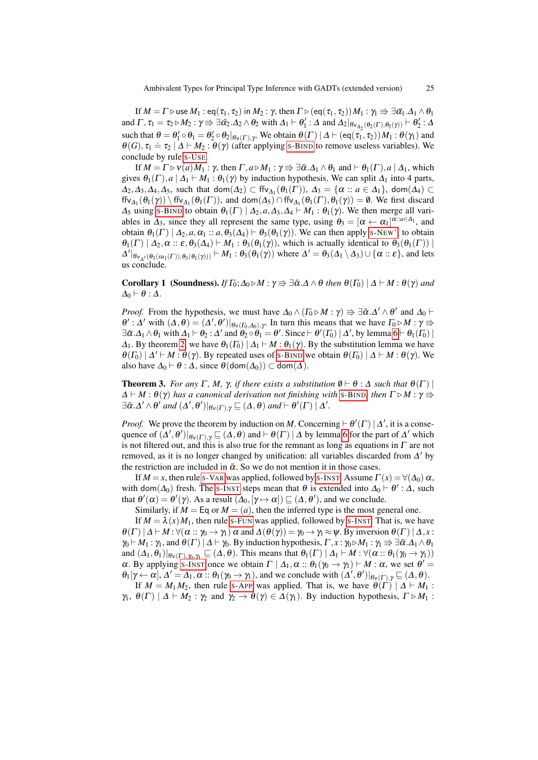If  $M = \Gamma \triangleright$  use  $M_1 :$  eq( $\tau_1, \tau_2$ ) in  $M_2 : \gamma$ , then  $\Gamma \triangleright (eq(\tau_1, \tau_2))M_1 : \gamma_1 \Rightarrow \exists \bar{\alpha_1} . \Delta_1 \wedge \theta_1$ and  $\Gamma$ ,  $\tau_1 = \tau_2 \triangleright M_2 : \gamma \Rightarrow \exists \bar{\alpha_2} . \Delta_2 \wedge \theta_2 \text{ with } \Delta_1 \vdash \theta_1' : \Delta \text{ and } \Delta_2|_{\text{ffv}_{\Delta_2}(\theta_2(\Gamma), \theta_2(\gamma))} \vdash \theta_2' : \Delta$ such that  $\theta=\theta_1'\circ\theta_1=\theta_2'\circ\theta_2|_{\text{ffv}(\Gamma),\gamma}.$  We obtain  $\theta(\Gamma)\ |\ \Delta\vdash(\text{eq}(\tau_1,\tau_2)) M_1:\theta(\gamma_1)$  and  $\theta(G)$ ,  $\tau_1 = \tau_2 |\Delta \vdash M_2 : \theta(\gamma)$  (after applying s-BIND to remove useless variables). We conclude by rule S-USE.

If  $M = \Gamma \triangleright v(a) M_1$ :  $\gamma$ , then  $\Gamma$ ,  $a \triangleright M_1$ :  $\gamma \rightrightarrows \exists \bar{\alpha} . \Delta_1 \wedge \theta_1$  and  $\vdash \theta_1(\Gamma)$ ,  $a \mid \Delta_1$ , which gives  $\theta_1(\Gamma), a \mid \Delta_1 \vdash M_1 : \theta_1(\gamma)$  by induction hypothesis. We can split  $\Delta_1$  into 4 parts,  $\Delta_2, \Delta_3, \Delta_4, \Delta_5$ , such that dom $(\Delta_2) \subset \text{ffv}_{\Delta_1}(\theta_1(\Gamma)), \Delta_3 = \{\alpha : a \in \Delta_1\}, \text{ dom}(\Delta_4) \subset$  $ffv_{\Delta_1}(\theta_1(\gamma)) \setminus ffv_{\Delta_1}(\theta_1(\Gamma)),$  and  $\text{dom}(\Delta_5) \cap ffv_{\Delta_1}(\theta_1(\Gamma), \theta_1(\gamma)) = \emptyset$ . We first discard  $\Delta_5$  using s-BIND to obtain  $\theta_1(\Gamma) | \Delta_2, a, \Delta_3, \Delta_4 \vdash M_1 : \theta_1(\gamma)$ . We then merge all variables in  $\Delta_3$ , since they all represent the same type, using  $\theta_3 = [\alpha \leftarrow \alpha_1]^{\alpha : a \in \Delta_1}$ , and obtain  $\theta_1(\Gamma) | \Delta_2, a, \alpha_1 :: a, \theta_3(\Delta_4) \vdash \theta_3(\theta_1(\gamma))$ . We can then apply s-NEW', to obtain  $\theta_1(\Gamma) | \Delta_2, \alpha : \varepsilon, \theta_3(\Delta_4) \vdash M_1 : \theta_3(\theta_1(\gamma))$ , which is actually identical to  $\theta_3(\theta_1(\Gamma)) |$  $\Delta' \vert_{\text{ffv}_{\Delta'}(\theta_3(su_1(\Gamma)),\theta_3(\theta_1(\gamma)))} \vdash M_1 : \theta_3(\theta_1(\gamma))$  where  $\Delta' = \theta_3(\Delta_1 \setminus \Delta_3) \cup \{\alpha : \varepsilon\}$ , and lets us conclude.

**Corollary 1** (Soundness). *If*  $\Gamma_0$ ;  $\Delta_0 \triangleright M$  :  $\gamma \rightrightarrows \exists \bar{\alpha} . \Delta \land \theta$  *then*  $\theta(\Gamma_0) \mid \Delta \vdash M$  :  $\theta(\gamma)$  *and*  $\Delta_0 \vdash \theta : \Delta$ .

*Proof.* From the hypothesis, we must have  $\Delta_0 \wedge (\Gamma_0 \triangleright M : \gamma) \Rightarrow \exists \bar{\alpha} \cdot \Delta' \wedge \theta'$  and  $\Delta_0 \vdash$  $\theta'$ :  $\Delta'$  with  $(\Delta, \theta) = (\Delta', \theta')|_{fiv(T_0, \Delta_0), \gamma}$ . In turn this means that we have  $\Gamma_0 \triangleright M : \gamma \Rightarrow$  $\exists \bar{\alpha}.\Delta_1 \wedge \theta_1 \text{ with } \Delta_1 \vdash \theta_2 : \Delta' \text{ and } \theta_2 \circ \theta_1 = \theta'. \text{ Since } \vdash \theta'(T_0) \mid \Delta', \text{ by lemma } 6 \vdash \theta_1(T_0) \mid$  $\Delta_1$ . By theorem 2, we have  $\theta_1(\Gamma_0) | \Delta_1 \vdash M : \theta_1(\gamma)$ . By the substitution lemma we have  $\theta(T_0) | \Delta' \vdash M : \theta(\gamma)$ . By repeated uses of s-BIND we obtain  $\theta(T_0) | \Delta \vdash M : \theta(\gamma)$ . We also have  $\Delta_0$   $\vdash \theta : \Delta$ , since  $\theta$ (dom( $\Delta_0$ )) ⊂ dom( $\Delta$ ).

**Theorem 3.** *For any*  $\Gamma$ *, M,*  $\gamma$ *, if there exists a substitution*  $\emptyset \vdash \theta : \Delta$  *such that*  $\Theta(\Gamma)$  |  $\Delta \vdash M : \Theta(\gamma)$  *has a canonical derivation not finishing with* S-BIND, then  $\Gamma \triangleright M : \gamma \Rrightarrow$  $\exists \bar{\alpha}.\Delta' \wedge \theta' \text{ and } (\Delta',\theta')|_{\text{ffv}(\Gamma),\gamma} \sqsubseteq (\Delta,\theta) \text{ and } \vdash \theta'(\Gamma) \mid \Delta'.$ 

*Proof.* We prove the theorem by induction on *M*. Concerning  $\vdash \theta'(T) | \Delta'$ , it is a consequence of  $(\Delta', \theta')|_{f f v(\Gamma), \gamma} \sqsubseteq (\Delta, \theta)$  and  $\vdash \theta(\Gamma) | \Delta$  by lemma 6 for the part of  $\Delta'$  which is not filtered out, and this is also true for the remnant as long as equations in  $\Gamma$  are not removed, as it is no longer changed by unification: all variables discarded from  $\Delta'$  by the restriction are included in  $\bar{\alpha}$ . So we do not mention it in those cases.

If  $M = x$ , then rule S-VAR was applied, followed by S-INST. Assume  $\Gamma(x) = \forall (\Delta_0) \alpha$ , with dom( $\Delta_0$ ) fresh. The s-INST steps mean that  $\theta$  is extended into  $\Delta_0 \vdash \theta' : \Delta$ , such that  $\theta'(\alpha) = \theta'(\gamma)$ . As a result  $(\Delta_0, [\gamma \mapsto \alpha]) \sqsubseteq (\Delta, \theta')$ , and we conclude.

Similarly, if  $M = \text{Eq or } M = (a)$ , then the inferred type is the most general one.

If  $M = \lambda(x)M_1$ , then rule s-Fun was applied, followed by s-INST. That is, we have  $\theta(\Gamma) | \Delta \vdash M : \forall (\alpha : \gamma_0 \to \gamma_1) \alpha$  and  $\Delta(\theta(\gamma)) = \gamma_0 \to \gamma_1 \approx \psi$ . By inversion  $\theta(\Gamma) | \Delta, x$ :  $\gamma_0 \vdash M_1 : \gamma_1$ , and  $\theta(\Gamma) | \Delta \vdash \gamma_0$ . By induction hypothesis,  $\Gamma, x : \gamma_0 \triangleright M_1 : \gamma_1 \Rrightarrow \exists \bar{\alpha} . \Delta_1 \wedge \theta_1$ and  $(\Delta_1, \theta_1)|_{\text{ffv}(\Gamma), \gamma_0, \gamma_1} \sqsubseteq (\Delta, \theta)$ . This means that  $\theta_1(\Gamma) | \Delta_1 \vdash M : \forall (\alpha : \theta_1(\gamma_0 \rightarrow \gamma_1))$  $\alpha$ . By applying s-INST once we obtain  $\Gamma | \Delta_1, \alpha : \theta_1(\gamma_0 \to \gamma_1) \vdash M : \alpha$ , we set  $\theta' =$  $\theta_1[\gamma \leftarrow \alpha], \Delta' = \Delta_1, \alpha :: \theta_1(\gamma_0 \rightarrow \gamma_1),$  and we conclude with  $(\Delta', \theta')|_{\text{ffv}(\Gamma), \gamma} \sqsubseteq (\Delta, \theta)$ .

If  $M = M_1 M_2$ , then rule s-APP was applied. That is, we have  $\theta(\Gamma) | \Delta \vdash M_1$ :  $\gamma_1$ ,  $\theta(\Gamma) | \Delta \vdash M_2 : \gamma_2$  and  $\gamma_2 \rightarrow \theta(\gamma) \in \Delta(\gamma_1)$ . By induction hypothesis,  $\Gamma \triangleright M_1$ :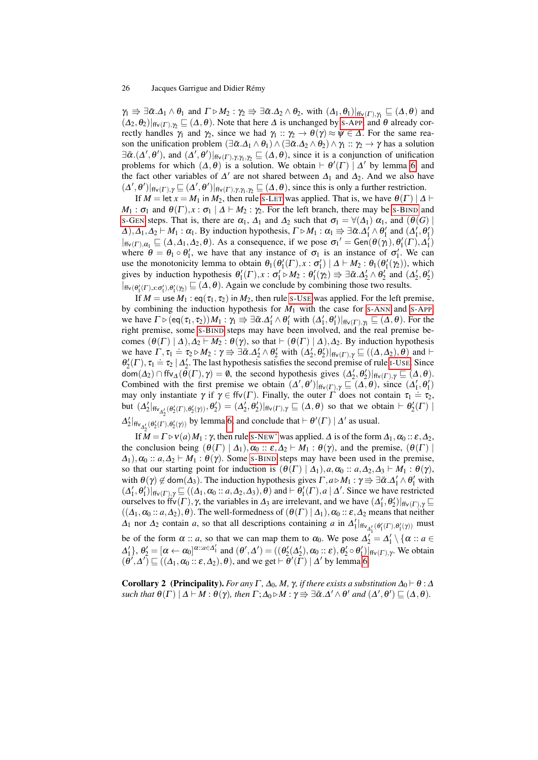$\gamma_1 \Rrightarrow \exists \bar{\alpha}.\Delta_1 \wedge \theta_1$  and  $\Gamma \triangleright M_2 : \gamma_2 \Rrightarrow \exists \bar{\alpha}.\Delta_2 \wedge \theta_2$ , with  $(\Delta_1, \theta_1)|_{\text{ffv}(\Gamma), \gamma_1} \sqsubseteq (\Delta, \theta)$  and  $(\Delta_2,\theta_2)|_{f\restriction v(\Gamma),\gamma_2} \sqsubseteq (\Delta,\theta)$ . Note that here  $\Delta$  is unchanged by s-APP, and  $\theta$  already correctly handles  $\gamma_1$  and  $\gamma_2$ , since we had  $\gamma_1 : \gamma_2 \to \theta(\gamma) \approx \psi \in \Delta$ . For the same reason the unification problem  $(\exists \bar{\alpha} \Delta_1 \wedge \theta_1) \wedge (\exists \bar{\alpha} \Delta_2 \wedge \theta_2) \wedge \gamma_1 :: \gamma_2 \rightarrow \gamma$  has a solution  $\exists \bar{\alpha} .(\Delta', \theta')$ , and  $(\Delta', \theta')|_{\text{ffv}(\Gamma), \gamma, \gamma_1, \gamma_2} \sqsubseteq (\Delta, \theta)$ , since it is a conjunction of unification problems for which  $(\Delta, \theta)$  is a solution. We obtain  $\vdash \theta'(\Gamma) | \Delta'$  by lemma 6, and the fact other variables of  $\Delta'$  are not shared between  $\Delta_1$  and  $\Delta_2$ . And we also have  $(\Delta', \theta')|_{\text{ffv}(\Gamma), \gamma} \sqsubseteq (\Delta', \theta')|_{\text{ffv}(\Gamma), \gamma, \gamma_1, \gamma_2} \sqsubseteq (\Delta, \theta)$ , since this is only a further restriction.

If  $M = \text{let } x = M_1$  in  $M_2$ , then rule s-LET was applied. That is, we have  $\theta(\Gamma) | \Delta \vdash$  $M_1$ :  $\sigma_1$  and  $\theta(\Gamma),$   $x$ :  $\sigma_1 \mid \Delta \vdash M_2$ :  $\gamma_2$ . For the left branch, there may be s-BIND and s-GEN steps. That is, there are  $\alpha_1$ ,  $\Delta_1$  and  $\Delta_2$  such that  $\sigma_1 = \forall (\Delta_1) \alpha_1$ , and  $(\theta(G))$  $\Delta$ ),  $\Delta_1, \Delta_2 \vdash M_1 : \alpha_1$ . By induction hypothesis,  $\Gamma \triangleright M_1 : \alpha_1 \Rrightarrow \exists \bar{\alpha} . \Delta'_1 \wedge \theta'_1$  and  $(\Delta'_1, \theta'_1)$  $|_{\text{ffv}(\Gamma),\alpha_1} \sqsubseteq (\Delta,\Delta_1,\Delta_2,\theta)$ . As a consequence, if we pose  $\sigma_1' = \text{Gen}(\theta(\gamma_1),\theta'_1(\Gamma),\Delta'_1)$ where  $\theta = \theta_1 \circ \theta'_1$ , we have that any instance of  $\sigma_1$  is an instance of  $\sigma'_1$ . We can use the monotonicity lemma to obtain  $\theta_1(\theta'_1(\Gamma), x : \sigma'_1) | \Delta \vdash M_2 : \theta_1(\theta'_1(\gamma_2))$ , which gives by induction hypothesis  $\theta'_1(\Gamma), x : \sigma'_1 \triangleright M_2 : \theta'_1(\gamma_2) \Rightarrow \exists \bar{\alpha} . \Delta'_2 \wedge \theta'_2$  and  $(\Delta'_2, \theta'_2)$  $|_{\text{ffv}(\theta_1'(F), x: \sigma_1'), \theta_1'(\gamma_2)} \sqsubseteq (\Delta, \theta)$ . Again we conclude by combining those two results.

If  $M =$  use  $M_1$ : eq( $\tau_1, \tau_2$ ) in  $M_2$ , then rule s-Use was applied. For the left premise, by combining the induction hypothesis for *M*<sup>1</sup> with the case for <sup>S</sup>-ANN and <sup>S</sup>-APP, we have  $\Gamma \triangleright (\mathsf{eq}(\tau_1, \tau_2)) M_1 : \gamma_1 \Rightarrow \exists \bar{\alpha} . \Delta'_1 \wedge \theta'_1 \text{ with } (\Delta'_1, \theta'_1)|_{\mathsf{ffv}(\Gamma), \gamma_1} \sqsubseteq (\Delta, \theta)$ . For the right premise, some S-BIND steps may have been involved, and the real premise becomes  $(\theta(\Gamma) | \Delta)$ ,  $\Delta_2 \vdash M_2 : \theta(\gamma)$ , so that  $\vdash (\theta(\Gamma) | \Delta)$ ,  $\Delta_2$ . By induction hypothesis we have  $\Gamma$ ,  $\tau_1 = \tau_2 \triangleright M_2 : \gamma \Rightarrow \exists \bar{\alpha} . \Delta'_2 \wedge \theta'_2$  with  $(\Delta'_2, \theta'_2)|_{\text{ffv}(\Gamma), \gamma} \sqsubseteq ((\Delta, \Delta_2), \theta)$  and  $\vdash$  $\theta'_2(\Gamma)$ ,  $\tau_1 = \tau_2 | \Delta'_2$ . The last hypothesis satisfies the second premise of rule 1-USE. Since  $\text{dom}(\Delta_2) \cap \text{ffv}_\Delta(\tilde{\theta}(\Gamma), \gamma) = \emptyset$ , the second hypothesis gives  $(\Delta'_2, \theta'_2)|_{\text{ffv}(\Gamma), \gamma} \sqsubseteq (\Delta, \theta)$ . Combined with the first premise we obtain  $(\Delta', \theta')|_{ffv(\Gamma), \gamma} \sqsubseteq (\Delta, \theta)$ , since  $(\Delta'_1, \theta'_1)$ may only instantiate  $\gamma$  if  $\gamma \in$  ffv(Γ). Finally, the outer  $\Gamma$  does not contain  $\tau_1 = \tau_2$ , but  $(\Delta'_2|_{\text{ffv}_{\Delta'_2}(\theta'_2(\Gamma),\theta'_2(\gamma))},\theta'_2) = (\Delta'_2,\theta'_2)|_{\text{ffv}(\Gamma),\gamma} \sqsubseteq (\Delta,\theta)$  so that we obtain  $\vdash \theta'_2(\Gamma) \mid$  $\Delta'_2|_{\text{ffv}_{\Delta'_2}(\theta'_2(\Gamma),\theta'_2(\gamma))}$  by lemma 6, and conclude that  $\vdash \theta'(\Gamma) | \Delta'$  as usual.

If  $M = \Gamma \triangleright v(a) M_1 : \gamma$ , then rule s-NEW' was applied.  $\Delta$  is of the form  $\Delta_1, \alpha_0 :: \varepsilon, \Delta_2$ , the conclusion being  $(\theta(\Gamma) | \Delta_1), \alpha_0 :: \varepsilon, \Delta_2 \vdash M_1 : \theta(\gamma)$ , and the premise,  $(\theta(\Gamma) |$  $\Delta_1$ ,  $\alpha_0$  ::  $a, \Delta_2 \vdash M_1 : \theta(\gamma)$ . Some s-BIND steps may have been used in the premise, so that our starting point for induction is  $(\theta(\Gamma) | \Delta_1)$ ,  $a, \alpha_0 :: a, \Delta_2, \Delta_3 \vdash M_1 : \theta(\gamma)$ , with  $\theta(\gamma) \notin \text{dom}(\Delta_3)$ . The induction hypothesis gives  $\Gamma, a \triangleright M_1 : \gamma \Rightarrow \exists \bar{\alpha} . \Delta'_1 \wedge \theta'_1$  with  $(\Delta'_1, \theta'_1)|_{\text{ffv}(\Gamma), \gamma} \sqsubseteq ((\Delta_1, \alpha_0 : a, \Delta_2, \Delta_3), \theta)$  and  $\vdash \theta'_1(\Gamma), a \mid \Delta'$ . Since we have restricted ourselves to ffv $(\Gamma)$ ,  $\gamma$ , the variables in  $\Delta_3$  are irrelevant, and we have  $(\Delta'_1, \theta'_2)|_{ffv(\Gamma), \gamma} \sqsubseteq$  $((\Delta_1, \alpha_0 :: a, \Delta_2), \theta)$ . The well-formedness of  $(\theta(\Gamma) | \Delta_1), \alpha_0 :: \varepsilon, \Delta_2$  means that neither  $\Delta_1$  nor  $\Delta_2$  contain *a*, so that all descriptions containing *a* in  $\Delta'_1|_{\text{ffv}_{\Delta'_1}(\theta'_1(T),\theta'_1(Y))}$  must

be of the form  $\alpha :: a$ , so that we can map them to  $\alpha_0$ . We pose  $\Delta_2' = \Delta_1' \setminus \{\alpha :: a \in \mathbb{C}\}$  $\Delta_1'$ },  $\theta_2' = [\alpha \leftarrow \alpha_0]^{\alpha::a \in \Delta_1'}$  and  $(\theta', \Delta') = ((\theta_2'(\Delta_2'), \alpha_0 :: \varepsilon), \theta_2' \circ \theta_1')|_{\text{ffv}(\Gamma), \gamma}$ . We obtain  $(\hat{\theta}', \Delta') \sqsubseteq ((\Delta_1, \alpha_0 :: \varepsilon, \Delta_2), \theta)$ , and we get  $\vdash \hat{\theta}'(\overline{\Gamma}) \mid \Delta'$  by lemma 6.

**Corollary 2** (Principality). *For any*  $\Gamma$ ,  $\Delta_0$ , *M*,  $\gamma$ , *if there exists a substitution*  $\Delta_0 \vdash \theta : \Delta$  $\mathcal{B}$  *such that*  $\theta(\Gamma) | \Delta \vdash M : \theta(\gamma)$ *, then*  $\Gamma; \Delta_0 \triangleright M : \gamma \Rrightarrow \exists \bar{\alpha} . \Delta' \wedge \theta'$  and  $(\Delta', \theta') \sqsubseteq (\Delta, \theta)$ *.*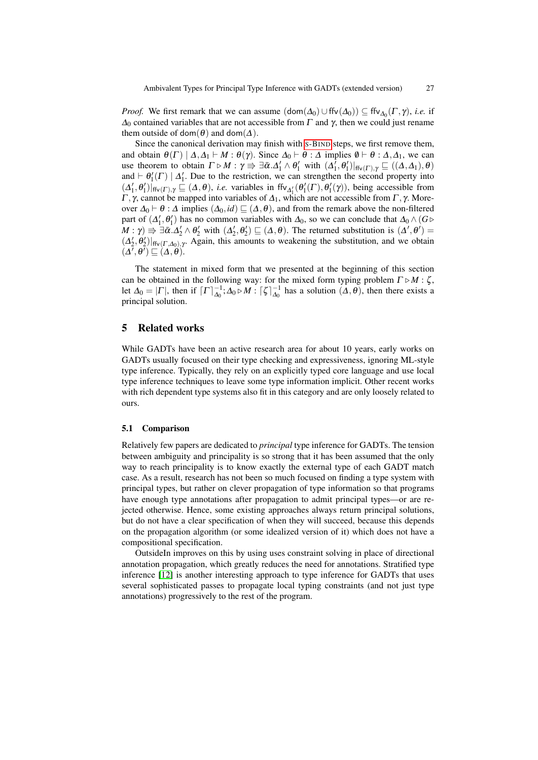*Proof.* We first remark that we can assume  $(\text{dom}(\Delta_0) \cup \text{ffv}(\Delta_0)) \subseteq \text{ffv}_{\Delta_0}(\Gamma, \gamma)$ , *i.e.* if  $\Delta_0$  contained variables that are not accessible from  $\Gamma$  and  $\gamma$ , then we could just rename them outside of dom( $\theta$ ) and dom( $\Delta$ ).

Since the canonical derivation may finish with S-BIND steps, we first remove them, and obtain  $\theta(\Gamma) | \Delta, \Delta_1 \vdash M : \theta(\gamma)$ . Since  $\Delta_0 \vdash \theta : \Delta$  implies  $\emptyset \vdash \theta : \Delta, \Delta_1$ , we can use theorem to obtain  $\Gamma \triangleright M : \gamma \Rightarrow \exists \bar{\alpha} . \Delta'_1 \wedge \theta'_1$  with  $(\Delta'_1, \theta'_1)|_{\text{ffv}(\Gamma), \gamma} \sqsubseteq ((\Delta, \Delta_1), \theta)$ and  $\vdash \theta'_1(\Gamma) | \Delta'_1$ . Due to the restriction, we can strengthen the second property into  $(\Delta'_1, \theta'_1)|_{\text{ffv}(\Gamma), \gamma} \sqsubseteq (\Delta, \theta)$ , *i.e.* variables in ffv<sub> $\Delta'_1(\theta'_1(\Gamma), \theta'_1(\gamma))$ , being accessible from</sub> Γ, γ, cannot be mapped into variables of  $\Delta_1$ , which are not accessible from Γ, γ. Moreover  $\Delta_0 \vdash \theta : \Delta$  implies  $(\Delta_0, id) \sqsubseteq (\Delta, \theta)$ , and from the remark above the non-filtered part of  $(\Delta'_1, \theta'_1)$  has no common variables with  $\Delta_0$ , so we can conclude that  $\Delta_0 \wedge (G \triangleright$  $M: \gamma \Rightarrow \exists \bar{\alpha}.\Delta'_2 \wedge \theta'_2$  with  $(\Delta'_2, \theta'_2) \sqsubseteq (\Delta, \theta)$ . The returned substitution is  $(\Delta', \theta') =$  $(\Delta_2, \theta_2')|_{\text{ffv}(\Gamma, \Delta_0), \gamma}$ . Again, this amounts to weakening the substitution, and we obtain  $(\Delta^7, \theta^7) \sqsubseteq (\Delta, \theta).$ 

The statement in mixed form that we presented at the beginning of this section can be obtained in the following way: for the mixed form typing problem  $\Gamma \triangleright M : \zeta$ , let  $\Delta_0 = |\Gamma|$ , then if  $\lceil \Gamma \rceil_{\Delta_0}^{-1}$  $\frac{-1}{\Delta_0}; \Delta_0 \triangleright M : \lceil \zeta \rceil_{\Delta_0}^{-1}$  $\alpha_{\text{0}}^{-1}$  has a solution  $(\Delta, \theta)$ , then there exists a principal solution.

## 5 Related works

While GADTs have been an active research area for about 10 years, early works on GADTs usually focused on their type checking and expressiveness, ignoring ML-style type inference. Typically, they rely on an explicitly typed core language and use local type inference techniques to leave some type information implicit. Other recent works with rich dependent type systems also fit in this category and are only loosely related to ours.

## 5.1 Comparison

Relatively few papers are dedicated to *principal* type inference for GADTs. The tension between ambiguity and principality is so strong that it has been assumed that the only way to reach principality is to know exactly the external type of each GADT match case. As a result, research has not been so much focused on finding a type system with principal types, but rather on clever propagation of type information so that programs have enough type annotations after propagation to admit principal types—or are rejected otherwise. Hence, some existing approaches always return principal solutions, but do not have a clear specification of when they will succeed, because this depends on the propagation algorithm (or some idealized version of it) which does not have a compositional specification.

OutsideIn improves on this by using uses constraint solving in place of directional annotation propagation, which greatly reduces the need for annotations. Stratified type inference [12] is another interesting approach to type inference for GADTs that uses several sophisticated passes to propagate local typing constraints (and not just type annotations) progressively to the rest of the program.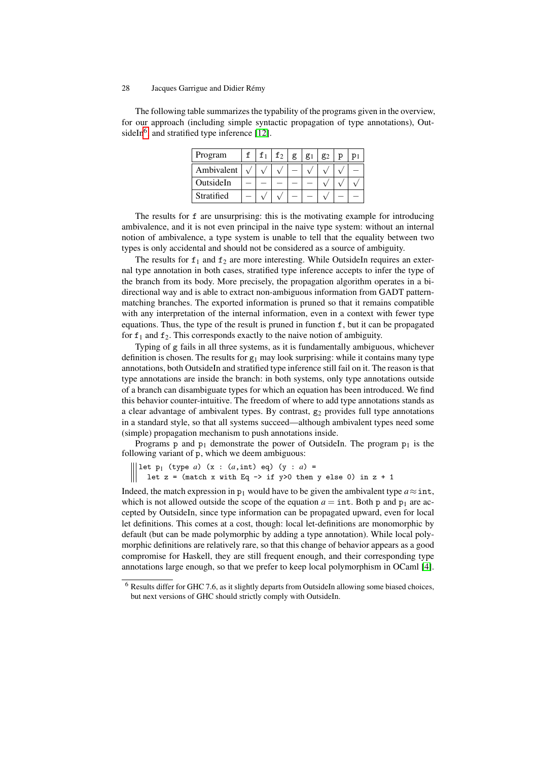The following table summarizes the typability of the programs given in the overview, for our approach (including simple syntactic propagation of type annotations), OutsideIn<sup>6</sup>, and stratified type inference [12].

| Program    |  | $f_{2}$ | g | $g_1$ | $g_2$ |  |
|------------|--|---------|---|-------|-------|--|
| Ambivalent |  |         |   |       |       |  |
| OutsideIn  |  |         |   |       |       |  |
| Stratified |  |         |   |       |       |  |

The results for f are unsurprising: this is the motivating example for introducing ambivalence, and it is not even principal in the naive type system: without an internal notion of ambivalence, a type system is unable to tell that the equality between two types is only accidental and should not be considered as a source of ambiguity.

The results for  $f_1$  and  $f_2$  are more interesting. While OutsideIn requires an external type annotation in both cases, stratified type inference accepts to infer the type of the branch from its body. More precisely, the propagation algorithm operates in a bidirectional way and is able to extract non-ambiguous information from GADT patternmatching branches. The exported information is pruned so that it remains compatible with any interpretation of the internal information, even in a context with fewer type equations. Thus, the type of the result is pruned in function f, but it can be propagated for  $f_1$  and  $f_2$ . This corresponds exactly to the naive notion of ambiguity.

Typing of g fails in all three systems, as it is fundamentally ambiguous, whichever definition is chosen. The results for  $g_1$  may look surprising: while it contains many type annotations, both OutsideIn and stratified type inference still fail on it. The reason is that type annotations are inside the branch: in both systems, only type annotations outside of a branch can disambiguate types for which an equation has been introduced. We find this behavior counter-intuitive. The freedom of where to add type annotations stands as a clear advantage of ambivalent types. By contrast,  $g_2$  provides full type annotations in a standard style, so that all systems succeed—although ambivalent types need some (simple) propagation mechanism to push annotations inside.

Programs p and  $p_1$  demonstrate the power of OutsideIn. The program  $p_1$  is the following variant of p, which we deem ambiguous:

Let  $p_1$  (type *a*) (x : (*a*,int) eq) (y : *a*) =<br>let  $z =$  (match x with  $F^2$ let  $z = (match x with Eq \rightarrow if y>0 then y else 0) in z + 1$ 

Indeed, the match expression in  $p_1$  would have to be given the ambivalent type  $a \approx \text{int}$ , which is not allowed outside the scope of the equation  $a = \text{int}$ . Both p and p<sub>1</sub> are accepted by OutsideIn, since type information can be propagated upward, even for local let definitions. This comes at a cost, though: local let-definitions are monomorphic by default (but can be made polymorphic by adding a type annotation). While local polymorphic definitions are relatively rare, so that this change of behavior appears as a good compromise for Haskell, they are still frequent enough, and their corresponding type annotations large enough, so that we prefer to keep local polymorphism in OCaml [4].

<sup>6</sup> Results differ for GHC 7.6, as it slightly departs from OutsideIn allowing some biased choices, but next versions of GHC should strictly comply with OutsideIn.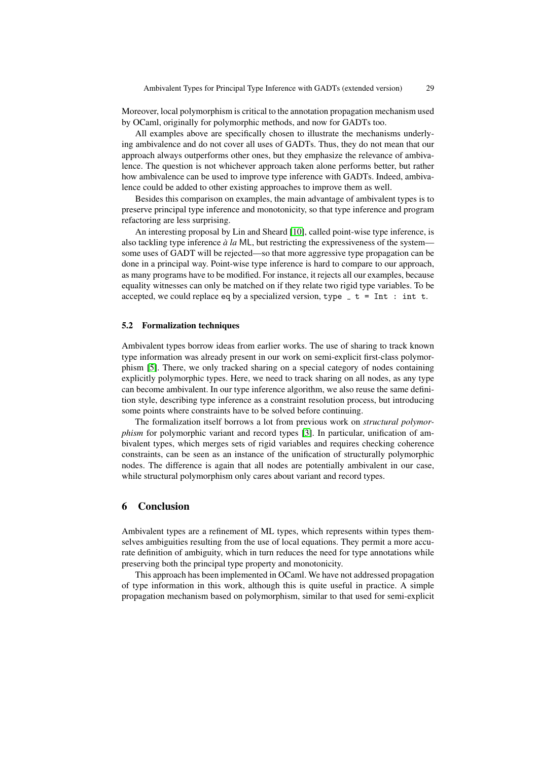Moreover, local polymorphism is critical to the annotation propagation mechanism used by OCaml, originally for polymorphic methods, and now for GADTs too.

All examples above are specifically chosen to illustrate the mechanisms underlying ambivalence and do not cover all uses of GADTs. Thus, they do not mean that our approach always outperforms other ones, but they emphasize the relevance of ambivalence. The question is not whichever approach taken alone performs better, but rather how ambivalence can be used to improve type inference with GADTs. Indeed, ambivalence could be added to other existing approaches to improve them as well.

Besides this comparison on examples, the main advantage of ambivalent types is to preserve principal type inference and monotonicity, so that type inference and program refactoring are less surprising.

An interesting proposal by Lin and Sheard [10], called point-wise type inference, is also tackling type inference  $\dot{a}$  la ML, but restricting the expressiveness of the system some uses of GADT will be rejected—so that more aggressive type propagation can be done in a principal way. Point-wise type inference is hard to compare to our approach, as many programs have to be modified. For instance, it rejects all our examples, because equality witnesses can only be matched on if they relate two rigid type variables. To be accepted, we could replace eq by a specialized version, type  $\pm t = \text{Int}$  : int t.

## 5.2 Formalization techniques

Ambivalent types borrow ideas from earlier works. The use of sharing to track known type information was already present in our work on semi-explicit first-class polymorphism [5]. There, we only tracked sharing on a special category of nodes containing explicitly polymorphic types. Here, we need to track sharing on all nodes, as any type can become ambivalent. In our type inference algorithm, we also reuse the same definition style, describing type inference as a constraint resolution process, but introducing some points where constraints have to be solved before continuing.

The formalization itself borrows a lot from previous work on *structural polymorphism* for polymorphic variant and record types [3]. In particular, unification of ambivalent types, which merges sets of rigid variables and requires checking coherence constraints, can be seen as an instance of the unification of structurally polymorphic nodes. The difference is again that all nodes are potentially ambivalent in our case, while structural polymorphism only cares about variant and record types.

## 6 Conclusion

Ambivalent types are a refinement of ML types, which represents within types themselves ambiguities resulting from the use of local equations. They permit a more accurate definition of ambiguity, which in turn reduces the need for type annotations while preserving both the principal type property and monotonicity.

This approach has been implemented in OCaml. We have not addressed propagation of type information in this work, although this is quite useful in practice. A simple propagation mechanism based on polymorphism, similar to that used for semi-explicit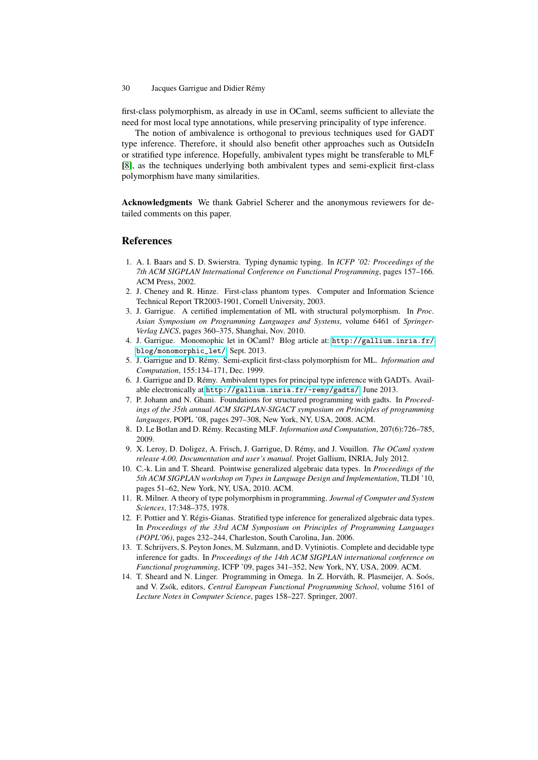first-class polymorphism, as already in use in OCaml, seems sufficient to alleviate the need for most local type annotations, while preserving principality of type inference.

The notion of ambivalence is orthogonal to previous techniques used for GADT type inference. Therefore, it should also benefit other approaches such as OutsideIn or stratified type inference. Hopefully, ambivalent types might be transferable to MLF [8], as the techniques underlying both ambivalent types and semi-explicit first-class polymorphism have many similarities.

Acknowledgments We thank Gabriel Scherer and the anonymous reviewers for detailed comments on this paper.

## **References**

- 1. A. I. Baars and S. D. Swierstra. Typing dynamic typing. In *ICFP '02: Proceedings of the 7th ACM SIGPLAN International Conference on Functional Programming*, pages 157–166. ACM Press, 2002.
- 2. J. Cheney and R. Hinze. First-class phantom types. Computer and Information Science Technical Report TR2003-1901, Cornell University, 2003.
- 3. J. Garrigue. A certified implementation of ML with structural polymorphism. In *Proc. Asian Symposium on Programming Languages and Systems*, volume 6461 of *Springer-Verlag LNCS*, pages 360–375, Shanghai, Nov. 2010.
- 4. J. Garrigue. Monomophic let in OCaml? Blog article at: [http://gallium.inria.fr/](http://gallium.inria.fr/blog/monomorphic_let/) [blog/monomorphic\\_let/](http://gallium.inria.fr/blog/monomorphic_let/), Sept. 2013.
- 5. J. Garrigue and D. Remy. Semi-explicit first-class polymorphism for ML. ´ *Information and Computation*, 155:134–171, Dec. 1999.
- 6. J. Garrigue and D. Rémy. Ambivalent types for principal type inference with GADTs. Available electronically at <http://gallium.inria.fr/~remy/gadts/>, June 2013.
- 7. P. Johann and N. Ghani. Foundations for structured programming with gadts. In *Proceedings of the 35th annual ACM SIGPLAN-SIGACT symposium on Principles of programming languages*, POPL '08, pages 297–308, New York, NY, USA, 2008. ACM.
- 8. D. Le Botlan and D. Rémy. Recasting MLF. *Information and Computation*, 207(6):726–785, 2009.
- 9. X. Leroy, D. Doligez, A. Frisch, J. Garrigue, D. Rémy, and J. Vouillon. *The OCaml system release 4.00, Documentation and user's manual*. Projet Gallium, INRIA, July 2012.
- 10. C.-k. Lin and T. Sheard. Pointwise generalized algebraic data types. In *Proceedings of the 5th ACM SIGPLAN workshop on Types in Language Design and Implementation*, TLDI '10, pages 51–62, New York, NY, USA, 2010. ACM.
- 11. R. Milner. A theory of type polymorphism in programming. *Journal of Computer and System Sciences*, 17:348–375, 1978.
- 12. F. Pottier and Y. Regis-Gianas. Stratified type inference for generalized algebraic data types. ´ In *Proceedings of the 33rd ACM Symposium on Principles of Programming Languages (POPL'06)*, pages 232–244, Charleston, South Carolina, Jan. 2006.
- 13. T. Schrijvers, S. Peyton Jones, M. Sulzmann, and D. Vytiniotis. Complete and decidable type inference for gadts. In *Proceedings of the 14th ACM SIGPLAN international conference on Functional programming*, ICFP '09, pages 341–352, New York, NY, USA, 2009. ACM.
- 14. T. Sheard and N. Linger. Programming in Omega. In Z. Horváth, R. Plasmeijer, A. Soós, and V. Zsók, editors, *Central European Functional Programming School*, volume 5161 of *Lecture Notes in Computer Science*, pages 158–227. Springer, 2007.